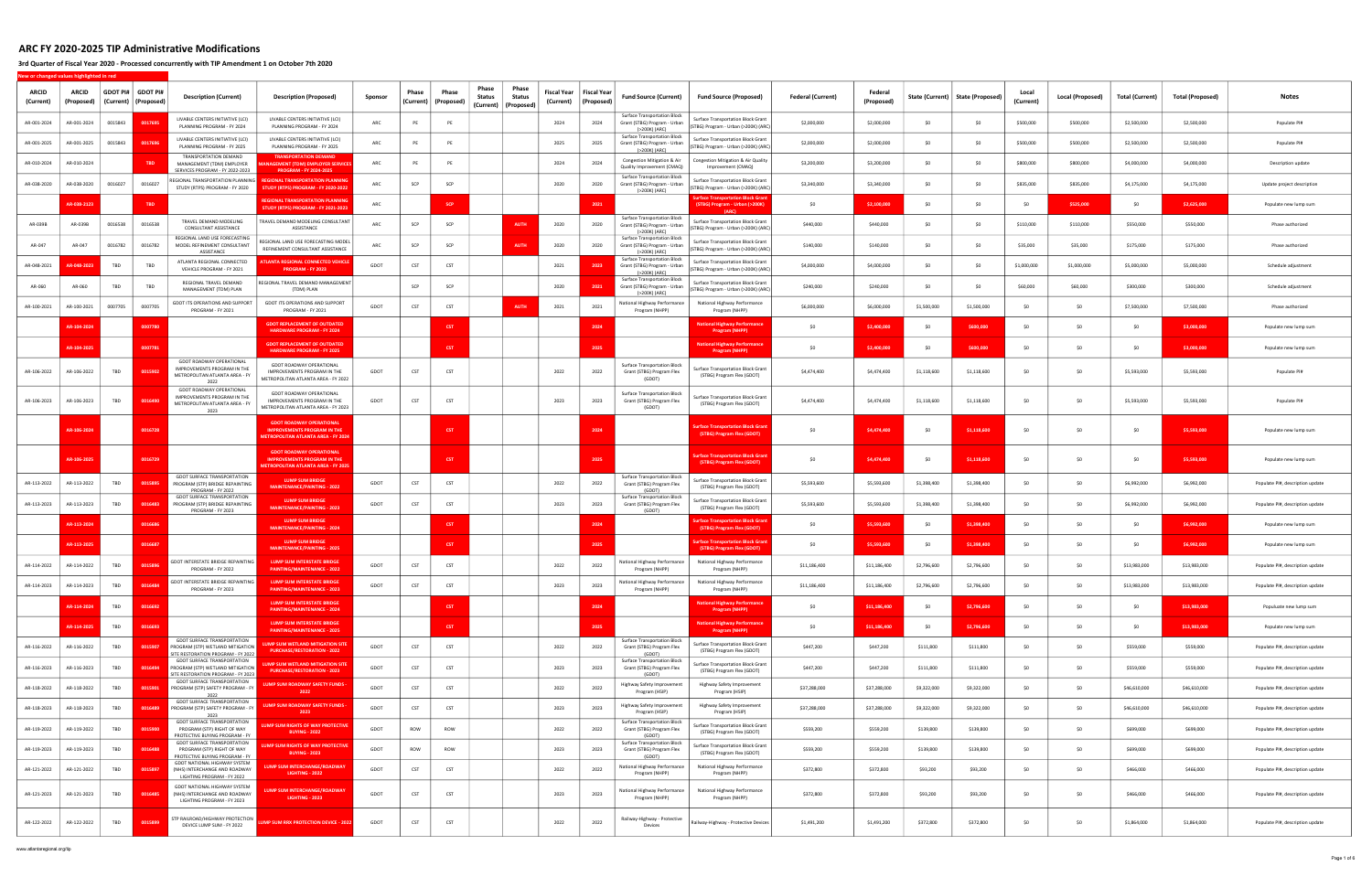3rd Quarter of Fiscal Year 2020 - Processed concurrently with TIP Amendment 1 on October 7th 2020

New or changed values highlighted in red

| ARCID<br>(Current) | <b>ARCID</b><br>(Proposed) | GDOT PI#   GDOT PI#<br>(Current)   (Proposed) |            | <b>Description (Current)</b>                                                                                       | <b>Description (Proposed)</b>                                                                                            | Sponsor | Phase<br>Current) | Phase<br>(Proposed | Phase<br><b>Status</b><br>(Current)   (Proposed) | Phase<br>Status | Fiscal Year<br>(Current) | <b>Fiscal Year</b><br>(Proposed) | <b>Fund Source (Current)</b>                                                         | <b>Fund Source (Proposed)</b>                                                     | <b>Federal (Current)</b> | Federal<br>(Proposed) |             | State (Current)   State (Proposed) | Local<br>(Current) | Local (Proposed) | Total (Current) | Total (Proposed) | <b>Notes</b>                     |
|--------------------|----------------------------|-----------------------------------------------|------------|--------------------------------------------------------------------------------------------------------------------|--------------------------------------------------------------------------------------------------------------------------|---------|-------------------|--------------------|--------------------------------------------------|-----------------|--------------------------|----------------------------------|--------------------------------------------------------------------------------------|-----------------------------------------------------------------------------------|--------------------------|-----------------------|-------------|------------------------------------|--------------------|------------------|-----------------|------------------|----------------------------------|
| AR-001-2024        | AR-001-2024                | 0015843                                       | 001769     | LIVABLE CENTERS INITIATIVE (LCI)<br>PLANNING PROGRAM - FY 2024                                                     | LIVABLE CENTERS INITIATIVE (LCI)<br>PLANNING PROGRAM - FY 2024                                                           | ARC     | PE                | <b>PE</b>          |                                                  |                 | 2024                     | 2024                             | Surface Transportation Block<br>Grant (STBG) Program - Urban<br>(>200K) (ARC)        | <b>Surface Transportation Block Grant</b><br>(STBG) Program - Urban (>200K) (ARC  | \$2,000,000              | \$2,000,000           | \$0         | -SO                                | \$500,000          | \$500,000        | \$2,500,000     | \$2,500,000      | Populate PI#                     |
| AR-001-2025        | AR-001-2025                | 0015843                                       | 001769     | LIVABLE CENTERS INITIATIVE (LCI)<br>PLANNING PROGRAM - FY 2025                                                     | LIVABLE CENTERS INITIATIVE (LCI)<br>PLANNING PROGRAM - FY 2025                                                           | ARC     | PE                | PE                 |                                                  |                 | 2025                     | 2025                             | <b>Surface Transportation Block</b><br>Grant (STBG) Program - Urban<br>(>200K) (ARC) | Surface Transportation Block Grant<br>(STBG) Program - Urban (>200K) (ARC)        | \$2,000,000              | \$2,000,000           | \$0         |                                    | \$500,000          | \$500,000        | \$2,500,000     | \$2,500,000      | Populate PI#                     |
| AR-010-2024        | AR-010-2024                |                                               | <b>TBD</b> | <b>TRANSPORTATION DEMAND</b><br>MANAGEMENT (TDM) EMPLOYER<br>SERVICES PROGRAM - FY 2022-2023                       | <b>TRANSPORTATION DEMAND</b><br><b>GEMENT (TDM) EMPLOYER SERVICES</b><br><b>PROGRAM - FY 2024-2025</b>                   | ARC     | <b>PE</b>         | - PE               |                                                  |                 | 2024                     | 2024                             | Congestion Mitigation & Air<br>Quality Improvement (CMAQ)                            | Congestion Mitigation & Air Quality<br>Improvement (CMAQ)                         | \$3,200,000              | \$3,200,000           | \$0         |                                    | \$800,000          | \$800,000        | \$4,000,000     | \$4,000,000      | Description update               |
| AR-038-2020        | AR-038-2020                | 0016027                                       | 0016027    | REGIONAL TRANSPORTATION PLANNING<br>STUDY (RTPS) PROGRAM - FY 2020                                                 | <b>REGIONAL TRANSPORTATION PLANNING</b><br>STUDY (RTPS) PROGRAM - FY 2020-2022                                           | ARC     | SCP               | SCP                |                                                  |                 | 2020                     | 2020                             | <b>Surface Transportation Block</b><br>Grant (STBG) Program - Urban<br>(>200K) (ARC) | Surface Transportation Block Grant<br>(STBG) Program - Urban (>200K) (ARC)        | \$3,340,000              | \$3,340,000           | \$0         |                                    | \$835,000          | \$835,000        | \$4,175,000     | \$4,175,000      | Update project description       |
|                    | AR-038-212                 |                                               | <b>TBD</b> |                                                                                                                    | <b>REGIONAL TRANSPORTATION PLANNING</b><br><b>TUDY (RTPS) PROGRAM - FY 2021-2023</b>                                     | ARC     |                   | <b>SCI</b>         |                                                  |                 |                          | 2021                             |                                                                                      | urface Transportation Block Grant<br>(STBG) Program - Urban (>200K)               | \$0                      | \$2,100,000           | SO.         | \$0                                |                    | \$525,000        | \$0             | \$2,625,000      | Populate new lump sum            |
| AR-039B            | AR-039B                    | 0016538                                       | 0016538    | TRAVEL DEMAND MODELING<br>CONSULTANT ASSISTANCE                                                                    | TRAVEL DEMAND MODELING CONSULTANT<br>ASSISTANCE                                                                          | ARC     | SCP               | SCP                |                                                  | <b>AUTH</b>     | 2020                     | 2020                             | <b>Surface Transportation Block</b><br>Grant (STBG) Program - Urban<br>(>200K) (ARC) | <b>Surface Transportation Block Grant</b><br>(STBG) Program - Urban (>200K) (ARC) | \$440,000                | \$440,000             | SO.         | SO.                                | \$110,000          | \$110,000        | \$550,000       | \$550,000        | Phase authorized                 |
| AR-047             | AR-047                     | 0016782                                       | 0016782    | REGIONAL LAND USE FORECASTING<br>MODEL REFINEMENT CONSULTANT<br>ASSISTANCE                                         | REGIONAL LAND USE FORECASTING MODEL<br>REFINEMENT CONSULTANT ASSISTANCE                                                  | ARC     | SCP               | SCP                |                                                  | AUTH            | 2020                     | 2020                             | <b>Surface Transportation Block</b><br>Grant (STBG) Program - Urban<br>(>200K) (ARC) | Surface Transportation Block Grant<br>(STBG) Program - Urban (>200K) (ARC)        | \$140,000                | \$140,000             | SO.         | SO.                                | \$35,000           | \$35,000         | \$175,000       | \$175,000        | Phase authorized                 |
| AR-048-2021        | $-048 - 2$                 | TBD                                           | TBD        | ATLANTA REGIONAL CONNECTED<br>VEHICLE PROGRAM - FY 2021                                                            | TLANTA REGIONAL CONNECTED VEHICLE<br><b>PROGRAM - FY 2023</b>                                                            | GDOT    | CST               | CST                |                                                  |                 | 2021                     | 2023                             | <b>Surface Transportation Block</b><br>Grant (STBG) Program - Urban<br>(>200K) (ARC) | Surface Transportation Block Grant<br>(STBG) Program - Urban (>200K) (ARC)        | \$4,000,000              | \$4,000,000           | \$0         | \$0                                | \$1,000,000        | \$1,000,000      | \$5,000,000     | \$5,000,000      | Schedule adjustment              |
| AR-060             | AR-060                     | TBD                                           | TBD        | REGIONAL TRAVEL DEMAND<br>MANAGEMENT (TDM) PLAN                                                                    | REGIONAL TRAVEL DEMAND MANAGEMENT<br>(TDM) PLAN                                                                          |         | SCP               | SCP                |                                                  |                 | 2020                     | 2021                             | <b>Surface Transportation Block</b><br>Grant (STBG) Program - Urban<br>(>200K) (ARC) | Surface Transportation Block Grant<br>(STBG) Program - Urban (>200K) (ARC)        | \$240,000                | \$240,000             | \$0         | \$0                                | \$60,000           | \$60,000         | \$300,000       | \$300,000        | Schedule adjustment              |
| AR-100-2021        | AR-100-2021                | 0007705                                       | 0007705    | GDOT ITS OPERATIONS AND SUPPORT<br>PROGRAM - FY 2021                                                               | <b>GDOT ITS OPERATIONS AND SUPPORT</b><br>PROGRAM - FY 2021                                                              | GDOT    | CST               | CST                |                                                  | <b>AUTH</b>     | 2021                     | 2021                             | National Highway Performance<br>Program (NHPP)                                       | National Highway Performance<br>Program (NHPP)                                    | \$6,000,000              | \$6,000,000           | \$1,500,000 | \$1,500,000                        | -SO                | S <sub>0</sub>   | \$7,500,000     | \$7,500,000      | Phase authorized                 |
|                    | AR-104-20                  |                                               | 0007780    |                                                                                                                    | GDOT REPLACEMENT OF OUTDATED<br><b>HARDWARE PROGRAM - FY 2024</b>                                                        |         |                   | <b>CST</b>         |                                                  |                 |                          | 2024                             |                                                                                      | <b>National Highway Performance</b><br><b>Program (NHPP)</b>                      | SO.                      | \$2,400.00            | - SO        | \$600,000                          | - SO               | SO.              | \$0             | \$3,000,000      | Populate new lump sum            |
|                    | AR-104-202                 |                                               | 0007781    |                                                                                                                    | <b>GDOT REPLACEMENT OF OUTDATED</b><br><b>HARDWARE PROGRAM - FY 2025</b>                                                 |         |                   | <b>CST</b>         |                                                  |                 |                          | 2025                             |                                                                                      | <b>National Highway Performance</b><br><b>Program (NHPP)</b>                      | SO.                      | \$2,400,000           | -SO         | \$600,000                          | - SO               | SO.              | \$0             | \$3,000,000      | Populate new lump sum            |
| AR-106-2022        | AR-106-2022                | TBD                                           | 0015902    | <b>GDOT ROADWAY OPERATIONAL</b><br>MPROVEMENTS PROGRAM IN THE<br>METROPOLITAN ATLANTA AREA - FY                    | GDOT ROADWAY OPERATIONAL<br>IMPROVEMENTS PROGRAM IN THE<br>METROPOLITAN ATLANTA AREA - FY 2022                           | GDOT    | CST               | CST                |                                                  |                 | 2022                     | 2022                             | Surface Transportation Block<br>Grant (STBG) Program Flex<br>(GDOT)                  | Surface Transportation Block Grant<br>(STBG) Program Flex (GDOT)                  | \$4,474,400              | \$4,474,400           | \$1,118,600 | \$1,118,600                        | S <sub>0</sub>     | SO               | \$5,593,000     | \$5,593,000      | Populate PI#                     |
| AR-106-2023        | AR-106-2023                | TBD                                           | 0016490    | GDOT ROADWAY OPERATIONAL<br>IMPROVEMENTS PROGRAM IN THE<br>METROPOLITAN ATLANTA AREA - FY<br>2023                  | GDOT ROADWAY OPERATIONAL<br>IMPROVEMENTS PROGRAM IN THE<br>METROPOLITAN ATLANTA AREA - FY 2023                           | GDOT    | CST               | CST                |                                                  |                 | 2023                     | 2023                             | <b>Surface Transportation Block</b><br>Grant (STBG) Program Flex<br>(GDOT)           | Surface Transportation Block Grant<br>(STBG) Program Flex (GDOT)                  | \$4,474,400              | \$4,474,400           | \$1,118,600 | \$1,118,600                        | S <sub>0</sub>     | \$0              | \$5,593,000     | \$5,593,000      | Populate PI#                     |
|                    | AR-106-20                  |                                               | 0016728    |                                                                                                                    | <b>GDOT ROADWAY OPERATIONAL</b><br><b>IMPROVEMENTS PROGRAM IN THE</b><br><b>IETROPOLITAN ATLANTA AREA - FY 2024</b>      |         |                   | <b>CST</b>         |                                                  |                 |                          | 2024                             |                                                                                      | <b>Inface Transportation Block Gran</b><br>(STBG) Program Flex (GDOT)             | \$0                      | \$4,474,400           | \$0         | \$1,118,600                        | S <sub>0</sub>     | \$0              | \$0             | \$5,593,000      | Populate new lump sum            |
|                    | AR-106-20                  |                                               | 0016729    |                                                                                                                    | <b>GDOT ROADWAY OPERATIONAL</b><br><b><i>MPROVEMENTS PROGRAM IN THE</i></b><br><b>ETROPOLITAN ATLANTA AREA - FY 2025</b> |         |                   | <b>CST</b>         |                                                  |                 |                          | 2025                             |                                                                                      | face Transportation Block Grar<br>(STBG) Program Flex (GDOT)                      | \$0                      | \$4,474,400           | \$0         | \$1.118.600                        | S <sub>0</sub>     | \$0              | \$0             | \$5,593,000      | Populate new lump sum            |
| AR-113-2022        | AR-113-2022                | TBD                                           | 0015895    | <b>GDOT SURFACE TRANSPORTATION</b><br>PROGRAM (STP) BRIDGE REPAINTING<br>PROGRAM - FY 2022                         | <b>LUMP SUM BRIDGE</b><br>MAINTENANCE/PAINTING - 2022                                                                    | GDOT    | <b>CST</b>        | CST                |                                                  |                 | 2022                     | 2022                             | <b>Surface Transportation Block</b><br>Grant (STBG) Program Flex<br>(GDOT)           | Surface Transportation Block Grant<br>(STBG) Program Flex (GDOT)                  | \$5,593,600              | \$5,593,600           | \$1,398,400 | \$1,398,400                        |                    | -SO              | \$6,992,000     | \$6,992,000      | Populate PI#, description update |
| AR-113-2023        | AR-113-2023                | TBD                                           | 0016483    | <b>GDOT SURFACE TRANSPORTATION</b><br>PROGRAM (STP) BRIDGE REPAINTING<br>PROGRAM - FY 2023                         | <b>LUMP SUM BRIDGE</b><br>MAINTENANCE/PAINTING - 2023                                                                    | GDOT    | CST               | CST                |                                                  |                 | 2023                     | 2023                             | <b>Surface Transportation Block</b><br>Grant (STBG) Program Flex<br>(GDOT)           | Surface Transportation Block Grant<br>(STBG) Program Flex (GDOT)                  | \$5,593,600              | \$5,593,600           | \$1,398,400 | \$1,398,400                        | - \$0              | \$0              | \$6,992,000     | \$6,992,000      | Populate PI#, description update |
|                    | AR-113-20                  |                                               | 0016686    |                                                                                                                    | <b>LUMP SUM BRIDGE</b><br>MAINTENANCE/PAINTING - 2024                                                                    |         |                   | <b>CST</b>         |                                                  |                 |                          | 2024                             |                                                                                      | <b>Inface Transportation Block Gran</b><br>(STBG) Program Flex (GDOT)             | \$0                      | \$5,593,600           | -SO         | \$1,398,400                        |                    | -SO              | \$0             | \$6,992,000      | Populate new lump sum            |
|                    | AR-113-20                  |                                               | 0016687    |                                                                                                                    | <b>LUMP SUM BRIDGE</b><br><b>MAINTENANCE/PAINTING - 2025</b>                                                             |         |                   | <b>CST</b>         |                                                  |                 |                          | 2025                             |                                                                                      | urface Transportation Block Gran<br>(STBG) Program Flex (GDOT)                    | SO.                      | \$5,593,600           | \$0         | \$1,398,400                        |                    | S <sub>0</sub>   | \$0             | \$6,992,000      | Populate new lump sum            |
| AR-114-2022        | AR-114-2022                | TBD                                           | 001589     | <b>SDOT INTERSTATE BRIDGE REPAINTING</b><br>PROGRAM - FY 2022                                                      | <b>LUMP SUM INTERSTATE BRIDGE</b><br><b>PAINTING/MAINTENANCE - 2022</b>                                                  | GDOT    | CST               | CST                |                                                  |                 | 2022                     | 2022                             | National Highway Performance<br>Program (NHPP)                                       | National Highway Performance<br>Program (NHPP)                                    | \$11,186,400             | \$11,186,400          | \$2,796,600 | \$2,796,600                        | - SO               | \$0              | \$13,983,000    | \$13,983,000     | Populate PI#, description update |
| AR-114-2023        | AR-114-2023                | TBD                                           | 0016484    | <b>GDOT INTERSTATE BRIDGE REPAINTING</b><br>PROGRAM - FY 2023                                                      | <b>LUMP SUM INTERSTATE BRIDGE</b><br><b>PAINTING/MAINTENANCE - 2023</b>                                                  | GDOT    | CST               | <b>CST</b>         |                                                  |                 | 2023                     | 2023                             | Program (NHPP)                                                                       | National Highway Performance   National Highway Performance<br>Program (NHPP)     | \$11,186,400             | \$11,186,400          | \$2,796,600 | \$2,796,600                        |                    | \$0              | \$13,983,000    | \$13,983,000     | Populate PI#, description update |
|                    | AR-114-2024                | TBD                                           | 0016692    |                                                                                                                    | <b>LUMP SUM INTERSTATE BRIDGE</b><br><b>PAINTING/MAINTENANCE - 2024</b>                                                  |         |                   | <b>CST</b>         |                                                  |                 |                          | 2024                             |                                                                                      | <b>National Highway Performance</b><br><b>Program (NHPP)</b>                      | \$0                      | \$11,186,400          | \$0         | \$2,796,600                        | \$0                | \$0              | \$0             | \$13,983,000     | Populuate new lump sum           |
|                    | AR-114-202                 | TBD                                           | 0016693    |                                                                                                                    | <b>LUMP SUM INTERSTATE BRIDGE</b><br><b>PAINTING/MAINTENANCE - 2025</b>                                                  |         |                   | <b>CST</b>         |                                                  |                 |                          | 2025                             |                                                                                      | lational Highway Performance<br><b>Program (NHPP)</b>                             | \$0                      | \$11,186,400          | \$0         | \$2,796,600                        | \$0                | \$0              | \$0             | \$13,983,000     | Populate new lump sum            |
| AR-116-2022        | AR-116-2022                | TBD                                           | 0015907    | <b>GDOT SURFACE TRANSPORTATION</b><br>PROGRAM (STP) WETLAND MITIGATION<br><b>ITE RESTORATION PROGRAM - FY 2022</b> | <b>JMP SUM WETLAND MITIGATION SITE</b><br><b>PURCHASE/RESTORATION - 2022</b>                                             | GDOT    | CST               | CST                |                                                  |                 | 2022                     | 2022                             | <b>Surface Transportation Block</b><br>Grant (STBG) Program Flex<br>(GDOT)           | <b>Surface Transportation Block Grant</b><br>(STBG) Program Flex (GDOT)           | \$447,200                | \$447,200             | \$111,800   | \$111,800                          | \$0                | \$0              | \$559,000       | \$559,000        | Populate PI#, description update |
| AR-116-2023        | AR-116-2023                | TBD                                           | 0016494    | <b>GDOT SURFACE TRANSPORTATION</b><br>PROGRAM (STP) WETLAND MITIGATION<br>ITE RESTORATION PROGRAM - FY 2023        | IMP SUM WETLAND MITIGATION SITE<br><b>PURCHASE/RESTORATION - 2023</b>                                                    | GDOT    | CST               | CST                |                                                  |                 | 2023                     | 2023                             | <b>Surface Transportation Block</b><br>Grant (STBG) Program Flex<br>(GDOT)           | Surface Transportation Block Grant<br>(STBG) Program Flex (GDOT)                  | \$447,200                | \$447,200             | \$111,800   | \$111,800                          | S <sub>0</sub>     | \$0              | \$559,000       | \$559,000        | Populate PI#, description update |
| AR-118-2022        | AR-118-2022                | TBD                                           | 0015901    | GDOT SURFACE TRANSPORTATION<br>PROGRAM (STP) SAFETY PROGRAM - FY<br>2022                                           | <b>UMP SUM ROADWAY SAFETY FUNDS -</b><br>2022                                                                            | GDOT    | CST               | <b>CST</b>         |                                                  |                 | 2022                     | 2022                             | Highway Safety Improvement<br>Program (HSIP)                                         | Highway Safety Improvement<br>Program (HSIP)                                      | \$37,288,000             | \$37,288,000          | \$9,322,000 | \$9,322,000                        | \$0                | \$0              | \$46,610,000    | \$46,610,000     | Populate PI#, description update |
| AR-118-2023        | AR-118-2023                | TBD                                           | 0016489    | <b>GDOT SURFACE TRANSPORTATION</b><br>PROGRAM (STP) SAFETY PROGRAM - FY<br>2023                                    | <b>JMP SUM ROADWAY SAFETY FUNDS -</b><br>2023                                                                            | GDOT    | CST               | CST                |                                                  |                 | 2023                     | 2023                             | Highway Safety Improvement<br>Program (HSIP)                                         | Highway Safety Improvement<br>Program (HSIP)                                      | \$37,288,000             | \$37,288,000          | \$9,322,000 | \$9,322,000                        | \$0                | \$0              | \$46,610,000    | \$46,610,000     | Populate PI#, description update |
| AR-119-2022        | AR-119-2022                | TBD                                           | 0015900    | <b>GDOT SURFACE TRANSPORTATION</b><br>PROGRAM (STP) RIGHT OF WAY<br>PROTECTIVE BUYING PROGRAM - FY                 | IMP SUM RIGHTS OF WAY PROTECTIVE<br><b>BUYING - 2022</b>                                                                 | GDOT    | ROW               | ROW                |                                                  |                 | 2022                     | 2022                             | <b>Surface Transportation Block</b><br>Grant (STBG) Program Flex<br>(GDOT)           | Surface Transportation Block Grant<br>(STBG) Program Flex (GDOT)                  | \$559,200                | \$559,200             | \$139,800   | \$139,800                          | \$0                | \$0              | \$699,000       | \$699,000        | Populate PI#, description update |
| AR-119-2023        | AR-119-2023                | TBD                                           | 0016488    | <b>GDOT SURFACE TRANSPORTATION</b><br>PROGRAM (STP) RIGHT OF WAY<br>PROTECTIVE BUYING PROGRAM - FY                 | UMP SUM RIGHTS OF WAY PROTECTIVE<br><b>BUYING - 2023</b>                                                                 | GDOT    | ROW               | ROW                |                                                  |                 | 2023                     | 2023                             | <b>Surface Transportation Block</b><br>Grant (STBG) Program Flex<br>(GDOT)           | Surface Transportation Block Grant<br>(STBG) Program Flex (GDOT)                  | \$559,200                | \$559,200             | \$139,800   | \$139,800                          | \$0                | \$0              | \$699,000       | \$699,000        | Populate PI#, description update |
| AR-121-2022        | AR-121-2022                | TBD                                           | 0015897    | GDOT NATIONAL HIGHWAY SYSTEM<br>(NHS) INTERCHANGE AND ROADWAY<br>LIGHTING PROGRAM - FY 2022                        | <b>UMP SUM INTERCHANGE/ROADWAY</b><br><b>LIGHTING - 2022</b>                                                             | GDOT    | CST               | <b>CST</b>         |                                                  |                 | 2022                     | 2022                             | National Highway Performance<br>Program (NHPP)                                       | National Highway Performance<br>Program (NHPP)                                    | \$372,800                | \$372,800             | \$93,200    | \$93,200                           | \$0                | \$0              | \$466,000       | \$466,000        | Populate PI#, description update |
| AR-121-2023        | AR-121-2023                | TBD                                           | 0016485    | GDOT NATIONAL HIGHWAY SYSTEM<br>(NHS) INTERCHANGE AND ROADWAY<br>LIGHTING PROGRAM - FY 2023                        | <b>LUMP SUM INTERCHANGE/ROADWAY</b><br><b>LIGHTING - 2023</b>                                                            | GDOT    | CST               | CST                |                                                  |                 | 2023                     | 2023                             | National Highway Performance<br>Program (NHPP)                                       | National Highway Performance<br>Program (NHPP)                                    | \$372,800                | \$372,800             | \$93,200    | \$93,200                           | \$0                | \$0              | \$466,000       | \$466,000        | Populate PI#, description update |
| AR-122-2022        | AR-122-2022                | TBD                                           | 0015899    | STP RAILROAD/HIGHWAY PROTECTION<br>DEVICE LUMP SUM - FY 2022                                                       | IMP SUM RRX PROTECTION DEVICE - 2022                                                                                     | GDOT    | CST               | CST                |                                                  |                 | 2022                     | 2022                             | Railway-Highway - Protective<br>Devices                                              | Railway-Highway - Protective Devices                                              | \$1,491,200              | \$1,491,200           | \$372,800   | \$372,800                          | \$0                | \$0              | \$1,864,000     | \$1,864,000      | Populate PI#, description update |

www.atlantaregional.org/tip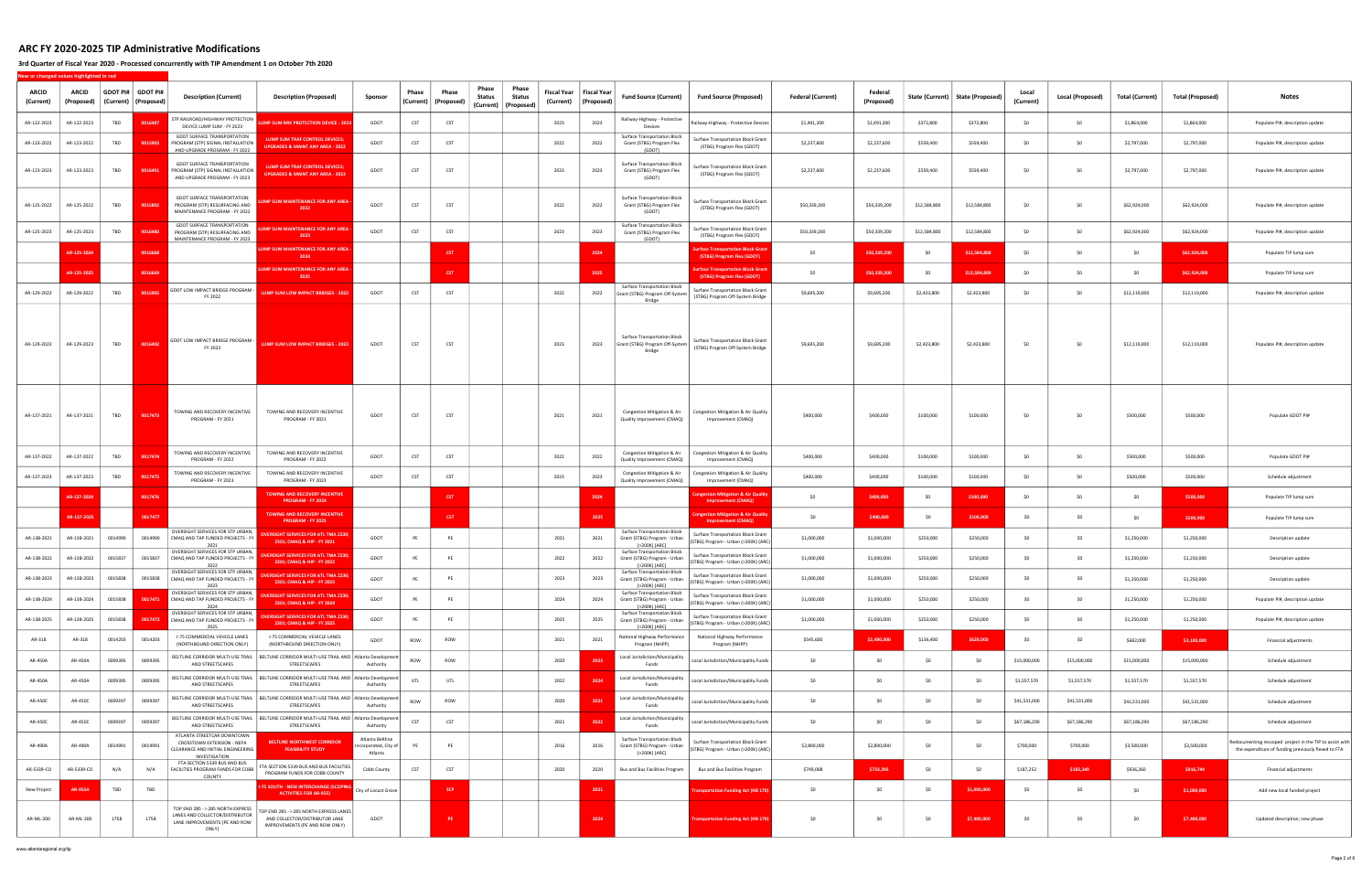### 3rd Quarter of Fiscal Year 2020 - Processed concurrently with TIP Amendment 1 on October 7th 2020

New or changed values highlighted in red

| <b>ARCID</b><br>(Current) | ARCID<br>(Proposed | <b>GDOT PI#</b><br>(Current) | GDOT PI‡<br>(Proposed) | <b>Description (Current)</b>                                                                                                                   | <b>Description (Proposed)</b>                                                                                  | Sponsor                                            | Phase<br>(Current) | Phase<br>(Proposed | Phase<br>Status | Phase<br>Fiscal Year<br>Status<br>(Current)<br>(Current)   (Proposed) | <b>Fiscal Year</b><br>(Proposed) | <b>Fund Source (Current)</b>                                                         | <b>Fund Source (Proposed)</b>                                                     | <b>Federal (Current)</b> | Federal<br>(Proposed) |              | State (Current)   State (Proposed) | Local<br>(Current) | Local (Proposed) | Total (Current) | Total (Proposed) | <b>Notes</b>                                                                                                    |
|---------------------------|--------------------|------------------------------|------------------------|------------------------------------------------------------------------------------------------------------------------------------------------|----------------------------------------------------------------------------------------------------------------|----------------------------------------------------|--------------------|--------------------|-----------------|-----------------------------------------------------------------------|----------------------------------|--------------------------------------------------------------------------------------|-----------------------------------------------------------------------------------|--------------------------|-----------------------|--------------|------------------------------------|--------------------|------------------|-----------------|------------------|-----------------------------------------------------------------------------------------------------------------|
| AR-122-2023               | AR-122-2023        | TBD                          | 001648                 | STP RAILROAD/HIGHWAY PROTECTION<br>DEVICE LUMP SUM - FY 2023                                                                                   | JMP SUM RRX PROTECTION DEVICE - 2023                                                                           | GDOT                                               | <b>CST</b>         | CST                |                 | 2023                                                                  | 2023                             | Railway-Highway - Protective<br>Devices                                              | Railway-Highway - Protective Devices                                              | \$1,491,200              | \$1,491,200           | \$372,800    | \$372,800                          | -SO                | SO.              | \$1,864,000     | \$1,864,000      | Populate PI#, description update                                                                                |
| AR-123-2022               | AR-123-2022        | TBD                          | 0015903                | <b>GDOT SURFACE TRANSPORTATION</b><br>PROGRAM (STP) SIGNAL INSTALLATION<br>AND UPGRADE PROGRAM - FY 2022                                       | LUMP SUM TRAF CONTROL DEVICES;<br><b>JPGRADES &amp; MAINT ANY AREA - 2022</b>                                  | GDOT                                               | CST                | CST                |                 | 2022                                                                  | 2022                             | <b>Surface Transportation Block</b><br>Grant (STBG) Program Flex<br>(GDOT)           | Surface Transportation Block Grant<br>(STBG) Program Flex (GDOT)                  | \$2,237,600              | \$2,237,600           | \$559,400    | \$559,400                          | SO.                | SO               | \$2,797,000     | \$2,797,000      | Populate PI#, description update                                                                                |
| AR-123-2023               | AR-123-2023        | TBD                          | 0016491                | <b>GDOT SURFACE TRANSPORTATION</b><br>PROGRAM (STP) SIGNAL INSTALLATION<br>AND UPGRADE PROGRAM - FY 2023                                       | <b>LUMP SUM TRAF CONTROL DEVICES:</b><br><b>JPGRADES &amp; MAINT ANY AREA - 2023</b>                           | GDOT                                               | <b>CST</b>         | CST                |                 | 2023                                                                  | 2023                             | <b>Surface Transportation Block</b><br>Grant (STBG) Program Flex<br>(GDOT)           | Surface Transportation Block Grant<br>(STBG) Program Flex (GDOT)                  | \$2,237,600              | \$2,237,600           | \$559,400    | \$559,400                          | SO.                | SO               | \$2,797,000     | \$2,797,000      | Populate PI#, description update                                                                                |
| AR-125-2022               | AR-125-2022        | TBD                          | 0015892                | <b>GDOT SURFACE TRANSPORTATION</b><br>PROGRAM (STP) RESURFACING AND<br>MAINTENANCE PROGRAM - FY 2022                                           | MP SUM MAINTENANCE FOR ANY AREA<br>2022                                                                        | GDOT                                               | <b>CST</b>         | CST                |                 | 2022                                                                  | 2022                             | <b>Surface Transportation Block</b><br>Grant (STBG) Program Flex<br>(GDOT)           | <b>Surface Transportation Block Grant</b><br>(STBG) Program Flex (GDOT)           | \$50,339,200             | \$50,339,200          | \$12,584,800 | \$12,584,800                       | \$0                | SO.              | \$62,924,000    | \$62,924,000     | Populate PI#, description update                                                                                |
| AR-125-2023               | AR-125-2023        | TBD                          | 001648                 | <b>GDOT SURFACE TRANSPORTATION</b><br>PROGRAM (STP) RESURFACING AND<br>MAINTENANCE PROGRAM - FY 2023                                           | <b>IP SUM MAINTENANCE FOR ANY AREA</b><br>2023                                                                 | GDOT                                               | <b>CST</b>         | CST                |                 | 2023                                                                  | 2023                             | <b>Surface Transportation Block</b><br>Grant (STBG) Program Flex<br>(GDOT)           | Surface Transportation Block Grant<br>(STBG) Program Flex (GDOT)                  | \$50,339,200             | \$50,339,200          | \$12,584,800 | \$12,584,800                       | SO.                | SO.              | \$62,924,000    | \$62,924,000     | Populate PI#, description update                                                                                |
|                           | AR-125-202         |                              | 0016668                |                                                                                                                                                | <b>MP SUM MAINTENANCE FOR ANY AREA</b><br>2024                                                                 |                                                    |                    | <b>CST</b>         |                 |                                                                       | 2024                             |                                                                                      | urface Transportation Block Grant<br>(STBG) Program Flex (GDOT)                   | \$0                      | \$50,339,200          | \$0          | \$12,584,800                       | SO.                | SO               | \$0             | \$62,924,000     | Populate TIP lump sum                                                                                           |
|                           | AR-125-2025        |                              | 0016669                |                                                                                                                                                | <b>UMP SUM MAINTENANCE FOR ANY AREA</b><br>2025                                                                |                                                    |                    | <b>CST</b>         |                 |                                                                       | 2025                             |                                                                                      | urface Transportation Block Gran<br>(STBG) Program Flex (GDOT)                    | \$0                      | \$50,339,200          | \$0          | \$12,584,800                       | \$0                | SO.              | \$0             | \$62,924,000     | Populate TIP lump sum                                                                                           |
| AR-129-2022               | AR-129-2022        | TBD                          | 0015905                | GDOT LOW IMPACT BRIDGE PROGRAM<br>FY 2022                                                                                                      | <b>LUMP SUM LOW IMPACT BRIDGES - 2022</b>                                                                      | GDOT                                               | <b>CST</b>         | CST                |                 | 2022                                                                  | 2022                             | Surface Transportation Block<br>Grant (STBG) Program Off-System<br>Bridge            | Surface Transportation Block Grant<br>(STBG) Program Off-System Bridge            | \$9,695,200              | \$9,695,200           | \$2,423,800  | \$2,423,800                        | -SO                | -SO              | \$12,119,000    | \$12,119,000     | Populate PI#, description update                                                                                |
| AR-129-2023               | AR-129-2023        | <b>TBD</b>                   | 0016492                | GDOT LOW IMPACT BRIDGE PROGRAM -<br>FY 2023                                                                                                    | LUMP SUM LOW IMPACT BRIDGES - 2023                                                                             | GDOT                                               | <b>CST</b>         | CST                |                 | 2023                                                                  | 2023                             | <b>Surface Transportation Block</b><br>Grant (STBG) Program Off-System  <br>Bridge   | Surface Transportation Block Grant<br>(STBG) Program Off-System Bridge            | \$9,695,200              | \$9,695,200           | \$2,423,800  | \$2,423,800                        | - SO               | \$0              | \$12,119,000    | \$12,119,000     | Populate PI#, description update                                                                                |
| AR-137-2021               | AR-137-2021        | TBD                          | 0017473                | TOWING AND RECOVERY INCENTIVE<br>PROGRAM - FY 2021                                                                                             | TOWING AND RECOVERY INCENTIVE<br>PROGRAM - FY 2021                                                             | GDOT                                               | <b>CST</b>         | CST                |                 | 2021                                                                  | 2021                             | Congestion Mitigation & Air<br>Quality Improvement (CMAQ)                            | Congestion Mitigation & Air Quality<br>Improvement (CMAQ)                         | \$400,000                | \$400,000             | \$100,000    | \$100,000                          | SO.                | S <sub>0</sub>   | \$500,000       | \$500,000        | Populate GDOT PI#                                                                                               |
| AR-137-2022               | AR-137-2022        | TBD                          | 0017474                | TOWING AND RECOVERY INCENTIVE<br>PROGRAM - FY 2022                                                                                             | TOWING AND RECOVERY INCENTIVE<br>PROGRAM - FY 2022                                                             | GDOT                                               | CST                | CST                |                 | 2022                                                                  | 2022                             | Congestion Mitigation & Air<br>Quality Improvement (CMAQ)                            | Congestion Mitigation & Air Quality<br>Improvement (CMAQ)                         | \$400,000                | \$400,000             | \$100,000    | \$100,000                          |                    | -SO              | \$500,000       | \$500,000        | Populate GDOT PI#                                                                                               |
| AR-137-2023               | AR-137-2023        | TBD                          | 0017475                | TOWING AND RECOVERY INCENTIVE<br>PROGRAM - FY 2023                                                                                             | TOWING AND RECOVERY INCENTIVE<br>PROGRAM - FY 2023                                                             | GDOT                                               | <b>CST</b>         | <b>CST</b>         |                 | 2023                                                                  | 2023                             | Congestion Mitigation & Air<br>Quality Improvement (CMAQ)                            | Congestion Mitigation & Air Quality<br>Improvement (CMAQ)                         | \$400,000                | \$400,000             | \$100,000    | \$100,000                          | -SO                | -SO              | \$500,000       | \$500,000        | Schedule adjustment                                                                                             |
|                           | AR-137-202         |                              | 0017476                |                                                                                                                                                | TOWING AND RECOVERY INCENTIVE<br>PROGRAM - FY 2024                                                             |                                                    |                    | <b>CST</b>         |                 |                                                                       | 2024                             |                                                                                      | Ingestion Mitigation & Air Quality<br><b>Improvement (CMAQ)</b>                   | \$0                      | \$400,000             | \$0          | \$100,000                          |                    | S <sub>0</sub>   | \$0             | \$500,000        | Populate TIP lump sum                                                                                           |
|                           | AR-137-202         |                              | 001747                 |                                                                                                                                                | TOWING AND RECOVERY INCENTIVE<br>PROGRAM - FY 2025                                                             |                                                    |                    | <b>CST</b>         |                 |                                                                       | 2025                             |                                                                                      | <b>Ingestion Mitigation &amp; Air Quality</b><br><b>Improvement (CMAQ)</b>        | \$0                      | \$400,000             | \$0          | \$100,000                          | \$0                | SO.              | \$0             | \$500,000        | Populate TIP lump sum                                                                                           |
| AR-138-2021               | AR-138-2021        | 0014990                      | 0014990                | OVERSIGHT SERVICES FOR STP URBAN<br>CMAQ AND TAP FUNDED PROJECTS - FY<br>2021                                                                  | <b>ERSIGHT SERVICES FOR ATL TMA Z230;</b><br>Z301; CMAQ & HIP - FY 2021                                        | GDOT                                               | PE                 | PE                 |                 | 2021                                                                  | 2021                             | <b>Surface Transportation Block</b><br>Grant (STBG) Program - Urban<br>(>200K) (ARC) | <b>Surface Transportation Block Grant</b><br>(STBG) Program - Urban (>200K) (ARC) | \$1,000,000              | \$1,000,000           | \$250,000    | \$250,000                          | - SO               | - SO             | \$1,250,000     | \$1,250,000      | Description update                                                                                              |
| AR-138-2022               | AR-138-2022        | 0015837                      | 0015837                | OVERSIGHT SERVICES FOR STP URBAN<br>CMAQ AND TAP FUNDED PROJECTS - FY<br>2022                                                                  | <b>ERSIGHT SERVICES FOR ATL TMA Z230;</b><br>Z301; CMAQ & HIP - FY 2022                                        | GDOT                                               | PE                 | PE                 |                 | 2022                                                                  | 2022                             | <b>Surface Transportation Block</b><br>Grant (STBG) Program - Urban<br>(>200K) (ARC) | <b>Surface Transportation Block Grant</b><br>(STBG) Program - Urban (>200K) (ARC) | \$1,000,000              | \$1,000,000           | \$250,000    | \$250,000                          | \$0                | SO.              | \$1,250,000     | \$1,250,000      | Description update                                                                                              |
| AR-138-2023               | AR-138-2023        | 0015838                      |                        | OVERSIGHT SERVICES FOR STP URBAN,<br>0015838 CMAQ AND TAP FUNDED PROJECTS - FY<br>2023                                                         | <b>OVERSIGHT SERVICES FOR ATL TMA Z230;</b><br><b>Z301: CMAO &amp; HIP - FY 2023</b>                           | GDOT                                               | PE                 | PE                 |                 | 2023                                                                  | 2023                             | <b>Surface Transportation Block</b><br>Grant (STBG) Program - Urban<br>(>200K) (ARC) | Surface Transportation Block Grant<br>(STBG) Program - Urban (>200K) (ARC)        | \$1,000,000              | \$1,000,000           | \$250,000    | \$250,000                          | \$0                |                  | \$1,250,000     | \$1,250,000      | Description update                                                                                              |
| AR-138-2024               | AR-138-2024        | 0015838                      | 0017471                | OVERSIGHT SERVICES FOR STP URBAN<br>CMAQ AND TAP FUNDED PROJECTS - FY<br>2024                                                                  | <b>VERSIGHT SERVICES FOR ATL TMA 7230</b><br>Z301; CMAQ & HIP - FY 2024                                        | GDOT                                               | PE                 | PE                 |                 | 2024                                                                  | 2024                             | Surface Transportation Block<br>Grant (STBG) Program - Urban<br>(>200K) (ARC)        | Surface Transportation Block Grant<br>(STBG) Program - Urban (>200K) (ARC)        | \$1,000,000              | \$1,000,000           | \$250,000    | \$250,000                          | \$0                | \$0              | \$1,250,000     | \$1,250,000      | Populate PI#, description update                                                                                |
| AR-138-2025               | AR-138-2025        | 0015838                      | 0017472                | OVERSIGHT SERVICES FOR STP URBAN<br>CMAQ AND TAP FUNDED PROJECTS - FY<br>2025                                                                  | <b>VERSIGHT SERVICES FOR ATL TMA Z230;</b><br>Z301; CMAQ & HIP - FY 2025                                       | GDOT                                               | PE                 | PE                 |                 | 2025                                                                  | 2025                             | <b>Surface Transportation Block</b><br>Grant (STBG) Program - Urban<br>(>200K) (ARC) | Surface Transportation Block Grant<br>(STBG) Program - Urban (>200K) (ARC)        | \$1,000,000              | \$1,000,000           | \$250,000    | \$250,000                          | \$0                | \$0              | \$1,250,000     | \$1,250,000      | Populate PI#, description update                                                                                |
| AR-318                    | AR-318             | 0014203                      | 0014203                | I-75 COMMERCIAL VEHICLE LANES<br>(NORTHBOUND DIRECTION ONLY)                                                                                   | I-75 COMMERCIAL VEHICLE LANES<br>(NORTHBOUND DIRECTION ONLY)                                                   | GDOT                                               | ROW                | ROW                |                 | 2021                                                                  | 2021                             | National Highway Performance<br>Program (NHPP)                                       | National Highway Performance<br>Program (NHPP)                                    | \$545,600                | \$2,480,000           | \$136,400    | \$620,000                          | \$0                | \$0              | \$682,000       | \$3,100,000      | Financial adjustments                                                                                           |
| AR-450A                   | AR-450A            | 0009395                      | 0009395                | AND STREETSCAPES                                                                                                                               | BELTLINE CORRIDOR MULTI-USE TRAIL   BELTLINE CORRIDOR MULTI-USE TRAIL AND   Atlanta Developmen<br>STREETSCAPES | Authority                                          | ROW                | ROW                |                 | 2020                                                                  | 2023                             | Local Jurisdiction/Municipality<br>Funds                                             | Local Jurisdiction/Municipality Funds                                             | \$0                      | \$0                   | \$0          | \$0                                | \$15,000,000       | \$15,000,000     | \$15,000,000    | \$15,000,000     | Schedule adjustment                                                                                             |
| AR-450A                   | AR-450A            | 0009395                      | 0009395                | AND STREETSCAPES                                                                                                                               | BELTLINE CORRIDOR MULTI-USE TRAIL   BELTLINE CORRIDOR MULTI-USE TRAIL AND   Atlanta Developmen<br>STREETSCAPES | Authority                                          | UTL                | UTL                |                 | 2022                                                                  | 202                              | Local Jurisdiction/Municipality<br>Funds                                             | Local Jurisdiction/Municipality Funds                                             | \$0                      | \$0                   | \$0          | \$0                                | \$1,557,570        | \$1,557,570      | \$1,557,570     | \$1,557,570      | Schedule adjustment                                                                                             |
| AR-450C                   | AR-450C            | 0009397                      | 0009397                | AND STREETSCAPES                                                                                                                               | BELTLINE CORRIDOR MULTI-USE TRAIL   BELTLINE CORRIDOR MULTI-USE TRAIL AND   Atlanta Developmen<br>STREETSCAPES | Authority                                          | ROW                | ROW                |                 | 2020                                                                  | 2021                             | Local Jurisdiction/Municipality<br>Funds                                             | Local Jurisdiction/Municipality Funds                                             | \$0                      | \$0                   | \$0          | \$0                                | \$41,531,000       | \$41,531,000     | \$41,531,000    | \$41,531,000     | Schedule adjustment                                                                                             |
| AR-450C                   | AR-450C            | 0009397                      | 0009397                | AND STREETSCAPES                                                                                                                               | BELTLINE CORRIDOR MULTI-USE TRAIL   BELTLINE CORRIDOR MULTI-USE TRAIL AND Atlanta Developmen<br>STREETSCAPES   | Authority                                          | <b>CST</b>         | CST                |                 | 2021                                                                  | 202                              | Local Jurisdiction/Municipality<br>Funds                                             | Local Jurisdiction/Municipality Funds                                             | \$0                      | \$0                   | \$0          | \$0                                | \$67,186,290       | \$67,186,290     | \$67,186,290    | \$67,186,290     | Schedule adjustment                                                                                             |
| AR-490A                   | AR-490A            | 0014991                      | 0014991                | ATLANTA STREETCAR DOWNTOWN<br>CROSSTOWN EXTENSION - NEPA<br>CLEARANCE AND INITIAL ENGINEERING<br>INVESTIGATION<br>FTA SECTION 5339 BUS AND BUS | <b>BELTLINE NORTHWEST CORRIDOR</b><br><b>FEASIBILITY STUDY</b>                                                 | Atlanta Beltline<br>corporated, City of<br>Atlanta | PE                 | PE                 |                 | 2016                                                                  | 2016                             | <b>Surface Transportation Block</b><br>Grant (STBG) Program - Urban<br>(>200K) (ARC) | <b>Surface Transportation Block Grant</b><br>(STBG) Program - Urban (>200K) (ARC) | \$2,800,000              | \$2,800,000           | \$0          | \$0                                | \$700,000          | \$700,000        | \$3,500,000     | \$3,500,000      | Redocumenting rescoped project in the TIP to assist with<br>the expenditure of funding previously flexed to FTA |
| AR-5339-CO                | AR-5339-CO         | N/A                          | N/A                    | FACILITIES PROGRAM FUNDS FOR COBB<br>COUNTY                                                                                                    | FTA SECTION 5339 BUS AND BUS FACILITIES<br>PROGRAM FUNDS FOR COBB COUNTY                                       | Cobb County                                        | <b>CST</b>         | CST                |                 | 2020                                                                  | 2020                             | Bus and Bus Facilities Program                                                       | <b>Bus and Bus Facilities Program</b>                                             | \$749,008                | \$733,395             | \$0          | \$0                                | \$187,252          | \$183,349        | \$936,260       | \$916,744        | Financial adjustments                                                                                           |
| New Project               | <b>AR-955A</b>     | TBD                          | TBD                    |                                                                                                                                                | <b>5 SOUTH - NEW INTERCHANGE (SCOPING</b><br><b>ACTIVITIES FOR AR-955)</b>                                     | City of Locust Grove                               |                    | <b>SCP</b>         |                 |                                                                       | 2021                             |                                                                                      | ransportation Funding Act (HB 170)                                                | \$0                      | \$0                   | \$0          | \$1,000,000                        | \$0                | \$0              | \$0             | \$1,000,000      | Add new local funded project                                                                                    |
| AR-ML-200                 | AR-ML-200          | 1758                         | 1758                   | TOP END 285 - I-285 NORTH EXPRESS<br>LANES AND COLLECTOR/DISTRIBUTOR<br>LANE IMPROVEMENTS (PE AND ROW<br>ONLY)                                 | TOP END 285 - I-285 NORTH EXPRESS LANES<br>AND COLLECTOR/DISTRIBUTOR LANE<br>IMPROVEMENTS (PE AND ROW ONLY)    | GDOT                                               |                    | PE                 |                 |                                                                       | 2024                             |                                                                                      | ansportation Funding Act (HB 170)                                                 | \$0                      | \$0                   | \$0          | \$7,400,000                        | \$0                | \$0              | \$0             | \$7,400,000      | Updated description; new phase                                                                                  |

www.atlantaregional.org/tip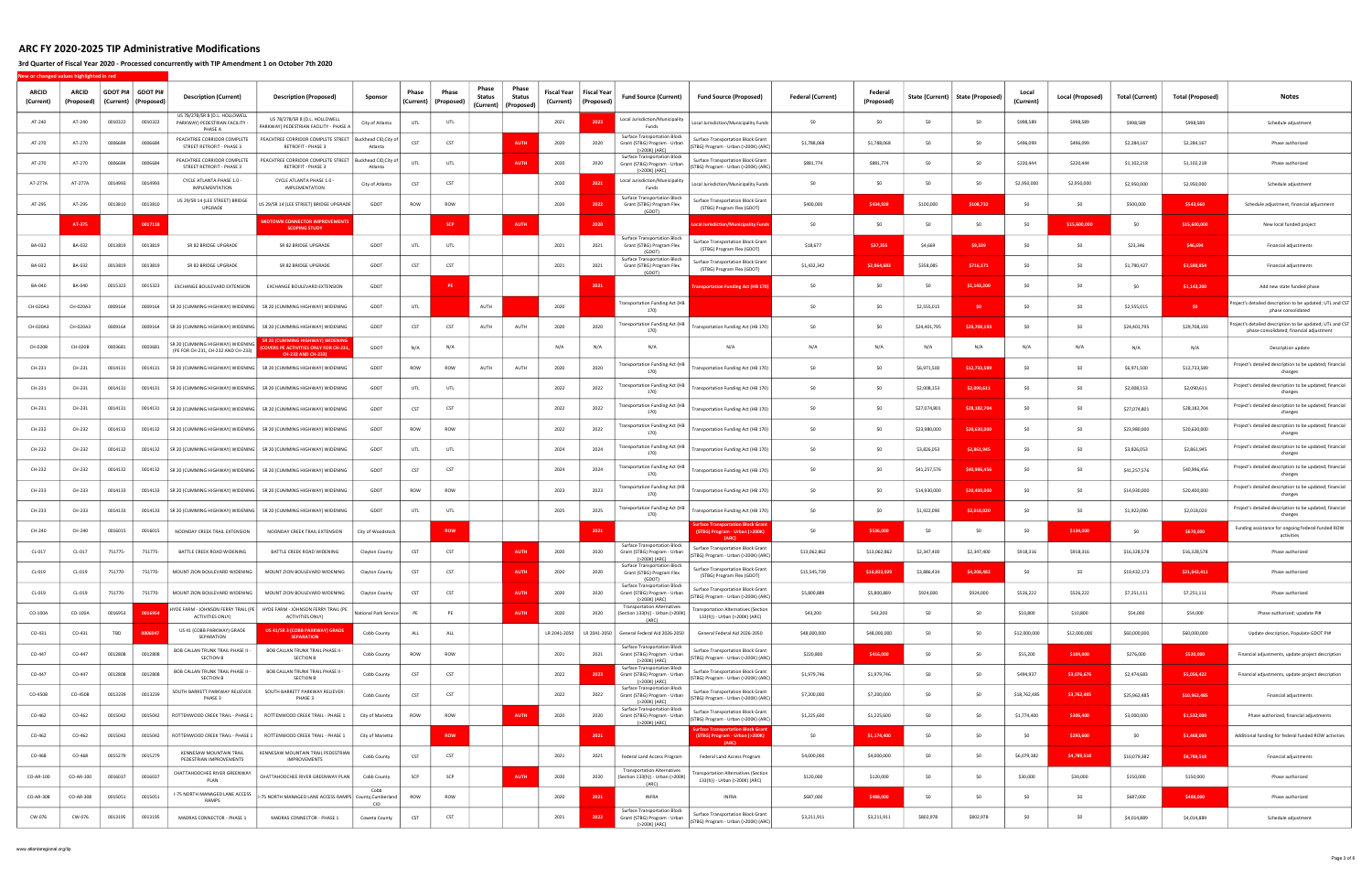### 3rd Quarter of Fiscal Year 2020 - Processed concurrently with TIP Amendment 1 on October 7th 2020

| <b>ARCID</b><br>(Current) | <b>ARCID</b><br>(Proposed | <b>GDOT PI#</b><br>(Current) | <b>GDOT PI#</b><br>(Proposed) | <b>Description (Current)</b>                                                | <b>Description (Proposed)</b>                                                                               | Sponsor                          | Phase<br>(Current) | Phase<br>(Proposed | Phase<br>Status | Phase<br>Status<br>(Current)   (Proposed) | <b>Fiscal Year</b><br>(Current) | <b>Fiscal Year</b><br>(Proposec | <b>Fund Source (Current)</b>                                                         | <b>Fund Source (Proposed)</b>                                                       | <b>Federal (Current)</b> | Federal<br>(Proposed | State (Current) | <b>State (Proposed)</b> | Local<br>(Current) | <b>Local (Proposed)</b> | <b>Total (Current)</b> | <b>Total (Proposed)</b> | <b>Notes</b>                                                                                        |
|---------------------------|---------------------------|------------------------------|-------------------------------|-----------------------------------------------------------------------------|-------------------------------------------------------------------------------------------------------------|----------------------------------|--------------------|--------------------|-----------------|-------------------------------------------|---------------------------------|---------------------------------|--------------------------------------------------------------------------------------|-------------------------------------------------------------------------------------|--------------------------|----------------------|-----------------|-------------------------|--------------------|-------------------------|------------------------|-------------------------|-----------------------------------------------------------------------------------------------------|
| AT-240                    | AT-240                    | 0010322                      | 0010322                       | US 78/278/SR 8 (D.L. HOLLOWELL<br>PARKWAY) PEDESTRIAN FACILITY -<br>PHASE A | US 78/278/SR 8 (D.L. HOLLOWELL<br>ARKWAY) PEDESTRIAN FACILITY - PHASE A                                     | City of Atlanta                  | UTL                | UTL                |                 |                                           | 2021                            | 2023                            | Local Jurisdiction/Municipality<br>Funds                                             | Local Jurisdiction/Municipality Funds                                               | \$0                      | SO.                  | -SO             | SO.                     | \$998,589          | \$998,589               | \$998,589              | \$998,589               | Schedule adjustment                                                                                 |
| AT-270                    | AT-270                    | 0006684                      | 0006684                       | PEACHTREE CORRIDOR COMPLETE<br>STREET RETROFIT - PHASE 3                    | PEACHTREE CORRIDOR COMPLETE STREET   Buckhead CID, City of<br>RETROFIT - PHASE 3                            | Atlanta                          | CST                | CST                |                 | <b>AUTH</b>                               | 2020                            | 2020                            | Surface Transportation Block<br>Grant (STBG) Program - Urban<br>(>200K) (ARC)        | <b>Surface Transportation Block Grant</b><br>(STBG) Program - Urban (>200K) (ARC)   | \$1,788,068              | \$1,788,068          | - SO            | Ś۵                      | \$496,099          | \$496,099               | \$2,284,167            | \$2,284,167             | Phase authorized                                                                                    |
| AT-270                    | AT-270                    | 0006684                      | 0006684                       | PEACHTREE CORRIDOR COMPLETE<br>STREET RETROFIT - PHASE 3                    | PEACHTREE CORRIDOR COMPLETE STREET<br>RETROFIT - PHASE 3                                                    | Buckhead CID, City of<br>Atlanta | UTL                | UTL                |                 | <b>AUTH</b>                               | 2020                            | 2020                            | <b>Surface Transportation Block</b><br>Grant (STBG) Program - Urban<br>(>200K) (ARC) | <b>Surface Transportation Block Grant</b><br>(STBG) Program - Urban (>200K) (ARC    | \$881,774                | \$881,774            |                 | \$0                     | \$220,444          | \$220,444               | \$1,102,218            | \$1,102,218             | Phase authorized                                                                                    |
| AT-277A                   | AT-277A                   | 0014993                      | 0014993                       | CYCLE ATLANTA PHASE 1.0 -<br>IMPLEMENTATION                                 | CYCLE ATLANTA PHASE 1.0 -<br>IMPLEMENTATION                                                                 | City of Atlanta                  | CST                | CST                |                 |                                           | 2020                            | 2021                            | Local Jurisdiction/Municipality<br>Funds                                             | Local Jurisdiction/Municipality Funds                                               | \$0                      | SO.                  | -SO             | \$0                     | \$2,950,000        | \$2,950,000             | \$2,950,000            | \$2,950,000             | Schedule adjustment                                                                                 |
| AT-295                    | AT-295                    | 0013810                      | 0013810                       | US 29/SR 14 (LEE STREET) BRIDGE<br>UPGRADE                                  | JS 29/SR 14 (LEE STREET) BRIDGE UPGRADE                                                                     | GDOT                             | ROW                | ROW                |                 |                                           | 2020                            | 2022                            | <b>Surface Transportation Block</b><br>Grant (STBG) Program Flex<br>(GDOT)           | Surface Transportation Block Grant<br>(STBG) Program Flex (GDOT)                    | \$400,000                | \$434,928            | \$100,000       | \$108,732               | SO.                |                         | \$500,000              | \$543,660               | Schedule adjustment, financial adjustment                                                           |
|                           | AT-375                    |                              | 0017118                       |                                                                             | <b>MIDTOWN CONNECTOR IMPROVEMENTS</b><br><b>SCOPING STUDY</b>                                               |                                  |                    | <b>SCP</b>         |                 | <b>AUTH</b>                               |                                 | 2020                            |                                                                                      | ocal Jurisdiction/Municipality Fun                                                  | \$0                      | \$0                  | SO              | SO                      | -SO                | \$15,600,000            | \$0                    | \$15,600,000            | New local funded project                                                                            |
| BA-032                    | BA-032                    | 0013819                      | 0013819                       | SR 82 BRIDGE UPGRADE                                                        | SR 82 BRIDGE UPGRADE                                                                                        | GDOT                             | UTL                | UTL                |                 |                                           | 2021                            | 2021                            | <b>Surface Transportation Block</b><br>Grant (STBG) Program Flex<br>(GDOT)           | <b>Surface Transportation Block Grant</b><br>(STBG) Program Flex (GDOT)             | \$18,677                 | \$37,355             | \$4,669         | \$9,339                 | SO.                | -SO                     | \$23,346               | \$46,694                | Financial adjustments                                                                               |
| BA-032                    | BA-032                    | 0013819                      | 0013819                       | SR 82 BRIDGE UPGRADE                                                        | SR 82 BRIDGE UPGRADE                                                                                        | GDOT                             | CST                | CST                |                 |                                           | 2021                            | 2021                            | <b>Surface Transportation Block</b><br>Grant (STBG) Program Flex<br>(GDOT)           | <b>Surface Transportation Block Grant</b><br>(STBG) Program Flex (GDOT)             | \$1,432,342              | \$2,864,683          | \$358,085       | \$716,171               | SO.                | - <∩                    | \$1,790,427            | \$3,580,854             | Financial adjustments                                                                               |
| BA-040                    | BA-040                    | 0015323                      | 0015323                       | EXCHANGE BOULEVARD EXTENSION                                                | EXCHANGE BOULEVARD EXTENSION                                                                                | GDOT                             |                    |                    |                 |                                           |                                 | 202                             |                                                                                      | <b>Fransportation Funding Act (HB 170</b>                                           | \$0                      | SO.                  | -SO             | \$1.143.200             | SO.                |                         | S <sub>0</sub>         | \$1,143,200             | Add new state funded phase                                                                          |
| CH-020A3                  | CH-020A3                  | 0009164                      | 0009164                       |                                                                             | SR 20 (CUMMING HIGHWAY) WIDENING   SR 20 (CUMMING HIGHWAY) WIDENING                                         | GDOT                             | UTL                |                    | AUTH            |                                           | 2020                            |                                 | <b>Transportation Funding Act (HB</b><br>170)                                        |                                                                                     | \$0                      | SO.                  | \$2,555,015     |                         | SO.                |                         | \$2,555,015            | \$0                     | Project's detailed description to be updated; UTL and CST<br>phase consolidated                     |
| CH-020A3                  | CH-020A3                  | 0009164                      | 0009164                       | SR 20 (CUMMING HIGHWAY) WIDENING                                            | SR 20 (CUMMING HIGHWAY) WIDENING                                                                            | GDOT                             | CST                | CST                | AUTH            | AUTH                                      | 2020                            | 2020                            | <b>Transportation Funding Act (HB</b><br>170)                                        | Transportation Funding Act (HB 170)                                                 | \$0                      | SO.                  | \$24,401,795    | \$29,708.193            | SO.                |                         | \$24,401,795           | \$29,708,193            | bject's detailed description to be updated; UTL and CST<br>phase consolidated; financial adjustment |
| CH-020B                   | CH-020B                   | 0003681                      | 0003681                       | SR 20 (CUMMING HIGHWAY) WIDENING<br>(PE FOR CH-231, CH-232 AND CH-233)      | <b>SR 20 (CUMMING HIGHWAY) WIDENING</b><br>OVERS PE ACTIVITIES ONLY FOR CH-231,<br><b>CH-232 AND CH-233</b> | GDOT                             | N/A                | N/A                |                 |                                           | N/A                             | N/A                             | N/A                                                                                  | N/A                                                                                 | N/A                      | N/A                  | N/A             | N/A                     | N/A                | N/A                     | N/A                    | N/A                     | Description update                                                                                  |
| CH-231                    | CH-231                    | 0014131                      | 0014131                       | SR 20 (CUMMING HIGHWAY) WIDENING                                            | SR 20 (CUMMING HIGHWAY) WIDENING                                                                            | GDOT                             | ROW                | ROW                | <b>AUTH</b>     | AUTH                                      | 2020                            | 2020                            | <b>Transportation Funding Act (HB</b><br>170)                                        | Transportation Funding Act (HB 170)                                                 | \$0                      | -SO                  | \$6,971,500     | \$12,733,589            | -SO                |                         | \$6,971,500            | \$12,733,589            | Project's detailed description to be updated; financial<br>changes                                  |
| CH-231                    | CH-231                    | 0014131                      | 0014131                       | SR 20 (CUMMING HIGHWAY) WIDENING                                            | SR 20 (CUMMING HIGHWAY) WIDENING                                                                            | GDOT                             | UTL                | UTL                |                 |                                           | 2022                            | 2022                            | <b>Transportation Funding Act (HB</b><br>170)                                        | Transportation Funding Act (HB 170)                                                 | \$0                      | \$0                  | \$2,008,153     | \$2,090,611             | SO.                | - SO                    | \$2,008,153            | \$2,090,611             | Project's detailed description to be updated; financial<br>changes                                  |
| CH-231                    | CH-231                    | 0014131                      | 0014131                       |                                                                             | SR 20 (CUMMING HIGHWAY) WIDENING   SR 20 (CUMMING HIGHWAY) WIDENING                                         | GDOT                             | <b>CST</b>         | CST                |                 |                                           | 2022                            | 2022                            | <b>Transportation Funding Act (HB</b><br>170)                                        | Transportation Funding Act (HB 170)                                                 | \$0                      |                      | \$27,074,801    | \$28.182.704            |                    |                         | \$27,074,801           | \$28,182,704            | Project's detailed description to be updated; financial<br>changes                                  |
| CH-232                    | CH-232                    | 0014132                      | 0014132                       |                                                                             | SR 20 (CUMMING HIGHWAY) WIDENING   SR 20 (CUMMING HIGHWAY) WIDENING                                         | GDOT                             | ROW                | ROW                |                 |                                           | 2022                            | 2022                            | Transportation Funding Act (HB<br>170)                                               | Transportation Funding Act (HB 170)                                                 | \$0                      | SO.                  | \$23,980,000    | \$20,630,000            |                    |                         | \$23,980,000           | \$20,630,000            | Project's detailed description to be updated; financial<br>changes                                  |
| CH-232                    | CH-232                    | 0014132                      | 0014132                       |                                                                             | SR 20 (CUMMING HIGHWAY) WIDENING   SR 20 (CUMMING HIGHWAY) WIDENING                                         | GDOT                             | UTL                | UTL                |                 |                                           | 2024                            | 2024                            | Transportation Funding Act (HB<br>170)                                               | Transportation Funding Act (HB 170)                                                 | \$0                      | SO.                  | \$3,826,053     | \$2,861,945             |                    |                         | \$3,826,053            | \$2,861,945             | Project's detailed description to be updated; financial<br>changes                                  |
| CH-232                    | CH-232                    | 0014132                      | 0014132                       |                                                                             | SR 20 (CUMMING HIGHWAY) WIDENING   SR 20 (CUMMING HIGHWAY) WIDENING                                         | GDOT                             | CST                | CST                |                 |                                           | 2024                            | 2024                            | Transportation Funding Act (HB<br>170)                                               | Transportation Funding Act (HB 170)                                                 | \$0                      | - SO                 | \$41,257,576    | \$40.996.456            | -SO                |                         | \$41,257,576           | \$40,996,456            | Project's detailed description to be updated; financial<br>changes                                  |
| CH-233                    | CH-233                    | 0014133                      | 0014133                       |                                                                             | SR 20 (CUMMING HIGHWAY) WIDENING   SR 20 (CUMMING HIGHWAY) WIDENING                                         | GDOT                             | ROW                | ROW                |                 |                                           | 2023                            | 2023                            | <b>Transportation Funding Act (HB</b><br>170)                                        | Transportation Funding Act (HB 170)                                                 | \$0                      | - SO                 | \$14,930,000    | \$20,400,000            | - SO               |                         | \$14,930,000           | \$20,400,000            | Project's detailed description to be updated; financial<br>changes                                  |
| CH-233                    | CH-233                    | 0014133                      | 0014133                       | SR 20 (CUMMING HIGHWAY) WIDENING                                            | SR 20 (CUMMING HIGHWAY) WIDENING                                                                            | GDOT                             | UTL                | UTL                |                 |                                           | 2025                            | 2025                            | <b>Transportation Funding Act (HB</b><br>170)                                        | Transportation Funding Act (HB 170)                                                 | \$0                      | \$0                  | \$1,922,090     | \$2,018,020             |                    |                         | \$1,922,090            | \$2,018,020             | Project's detailed description to be updated; financial<br>changes                                  |
| CH-240                    | CH-240                    | 0016015                      | 0016015                       | NOONDAY CREEK TRAIL EXTENSION                                               | NOONDAY CREEK TRAIL EXTENSION                                                                               | City of Woodstock                |                    | <b>ROW</b>         |                 |                                           |                                 | 2021                            |                                                                                      | urface Transportation Block Grai<br>(STBG) Program - Urban (>200K)                  | \$0                      | \$536,000            | \$0             |                         |                    | \$134,000               | \$0                    | \$670,000               | Funding assistance for ongoing federal-funded ROW<br>activities                                     |
| CL-017                    | CL-017                    | 751775-                      | 751775-                       | BATTLE CREEK ROAD WIDENING                                                  | BATTLE CREEK ROAD WIDENING                                                                                  | Clayton County                   | CST                | CST                |                 | <b>AUTH</b>                               | 2020                            | 2020                            | <b>Surface Transportation Block</b><br>Grant (STBG) Program - Urban<br>(>200K) (ARC) | <b>Surface Transportation Block Grant</b><br>(STBG) Program - Urban (>200K) (ARC)   | \$13,062,862             | \$13,062,862         | \$2,347,400     | \$2,347,400             | \$918,316          | \$918,316               | \$16,328,578           | \$16,328,578            | Phase authorized                                                                                    |
| CL-019                    | CL-019                    | 751770-                      | 751770-                       | MOUNT ZION BOULEVARD WIDENING                                               | MOUNT ZION BOULEVARD WIDENING                                                                               | Clayton County                   | CST                | CST                |                 | <b>AUTH</b>                               | 2020                            | 2020                            | Surface Transportation Block<br>Grant (STBG) Program Flex                            | <b>Surface Transportation Block Grant</b><br>(STBG) Program Flex (GDOT)             | \$15,545,739             | \$16,833,92          | \$3,886,434     | \$4,208,482             |                    |                         | \$19,432,173           | \$21,042,411            | Phase authorized                                                                                    |
| CL-019                    | CL-019                    | 751770-                      | 751770-                       | MOUNT ZION BOULEVARD WIDENING                                               | MOUNT ZION BOULEVARD WIDENING                                                                               | Clayton County                   | CST                | CST                |                 | <b>AUTH</b>                               | 2020                            | 2020                            | Surface Transportation Block<br>Grant (STBG) Program - Urban<br>(>200K) (ARC)        | Surface Transportation Block Grant<br>(STBG) Program - Urban (>200K) (ARC)          | \$5,800,889              | \$5,800,889          | \$924,000       | \$924,000               | \$526,222          | \$526,222               | \$7,251,111            | \$7,251,111             | Phase authorized                                                                                    |
| CO-100A                   | CO-100A                   | 0016953                      | 0016954                       | HYDE FARM - JOHNSON FERRY TRAIL (PE<br>ACTIVITIES ONLY)                     | HYDE FARM - JOHNSON FERRY TRAIL (PE<br>ACTIVITIES ONLY)                                                     | <b>Vational Park Service</b>     | PE                 | PE                 |                 | <b>AUTH</b>                               | 2020                            | 2020                            | <b>Transportation Alternatives</b><br>(Section 133(h)) - Urban (>200K)<br>(ARC)      | ansportation Alternatives (Section<br>133(h)) - Urban (>200K) (ARC)                 | \$43,200                 | \$43,200             | \$0             | \$0                     | \$10,800           | \$10,800                | \$54,000               | \$54,000                | Phase authorized; upadate PI#                                                                       |
| CO-431                    | CO-431                    | TBD                          | 0006047                       | US 41 (COBB PARKWAY) GRADE<br>SEPARATION                                    | US 41/SR 3 (COBB PARKWAY) GRADE<br><b>SEPARATION</b>                                                        | Cobb County                      | ALL                | ALL                |                 |                                           | LR 2041-2050                    | LR 2041-2050                    | General Federal Aid 2026-2050                                                        | General Federal Aid 2026-2050                                                       | \$48,000,000             | \$48,000,000         | \$0             | \$0                     | \$12,000,000       | \$12,000,000            | \$60,000,000           | \$60,000,000            | Update description, Populate GDOT PI#                                                               |
| CO-447                    | CO-447                    | 0012808                      | 0012808                       | <b>BOB CALLAN TRUNK TRAIL PHASE II</b><br><b>SECTION B</b>                  | <b>BOB CALLAN TRUNK TRAIL PHASE II -</b><br><b>SECTION B</b>                                                | Cobb County                      | ROW                | ROW                |                 |                                           | 2021                            | 2021                            | <b>Surface Transportation Block</b><br>Grant (STBG) Program - Urban<br>(>200K) (ARC) | <b>Surface Transportation Block Grant</b><br>(STBG) Program - Urban (>200K) (ARC)   | \$220,800                | \$416,000            | \$0             | \$0                     | \$55,200           | \$104,000               | \$276,000              | \$520,000               | Financial adjustments, update project description                                                   |
| CO-447                    | CO-447                    | 0012808                      | 0012808                       | <b>BOB CALLAN TRUNK TRAIL PHASE II -</b><br><b>SECTION B</b>                | BOB CALLAN TRUNK TRAIL PHASE II -<br><b>SECTION B</b>                                                       | Cobb County                      | CST                | CST                |                 |                                           | 2022                            | 2023                            | <b>Surface Transportation Block</b><br>Grant (STBG) Program - Urban<br>(>200K) (ARC) | <b>Surface Transportation Block Grant</b><br>(STBG) Program - Urban (>200K) (ARC)   | \$1,979,746              | \$1,979,746          | \$0             | \$0                     | \$494,937          | \$3,076,676             | \$2,474,683            | \$5,056,422             | Financial adjustments, update project description                                                   |
| CO-450B                   | CO-450B                   | 0013239                      | 0013239                       | SOUTH BARRETT PARKWAY RELIEVER:<br>PHASE 3                                  | SOUTH BARRETT PARKWAY RELIEVER:<br>PHASE 3                                                                  | Cobb County                      | CST                | CST                |                 |                                           | 2022                            | 2022                            | <b>Surface Transportation Block</b><br>Grant (STBG) Program - Urban<br>(>200K) (ARC) | <b>Surface Transportation Block Grant</b><br>(STBG) Program - Urban (>200K) (ARC)   | \$7,200,000              | \$7,200,000          | \$0             | SO                      | \$18,762,485       | \$3,762,485             | \$25,962,485           | \$10,962,485            | Financial adjustments                                                                               |
| CO-462                    | $CO-462$                  | 0015042                      | 0015042                       | ROTTENWOOD CREEK TRAIL - PHASE 1                                            | ROTTENWOOD CREEK TRAIL - PHASE 1                                                                            | City of Marietta                 | ROW                | ROW                |                 | <b>AUTH</b>                               | 2020                            | 2020                            | Surface Transportation Block<br>Grant (STBG) Program - Urban<br>(>200K) (ARC)        | Surface Transportation Block Grant<br>(STBG) Program - Urban (>200K) (ARC)          | \$1,225,600              | \$1,225,600          | \$0             | SO                      | \$1,774,400        | \$306,400               | \$3,000,000            | \$1,532,000             | Phase authorized, financial adjustments                                                             |
| CO-462                    | CO-462                    | 0015042                      | 0015042                       | ROTTENWOOD CREEK TRAIL - PHASE 1                                            | ROTTENWOOD CREEK TRAIL - PHASE 1                                                                            | City of Marietta                 |                    | <b>ROW</b>         |                 |                                           |                                 | 2021                            |                                                                                      | <b>Surface Transportation Block Gran</b><br>(STBG) Program - Urban (>200K)<br>(ARC) | \$0                      | \$1,174,400          | \$0             | \$0                     | \$0                | \$293,600               | \$0                    | \$1,468,000             | Additional funding for federal funded ROW activities                                                |
| CO-468                    | CO-468                    | 0015279                      | 0015279                       | KENNESAW MOUNTAIN TRAIL<br>PEDESTRIAN IMPROVEMENTS                          | KENNESAW MOUNTAIN TRAIL PEDESTRIAN<br>IMPROVEMENTS                                                          | Cobb County                      | CST                | CST                |                 |                                           | 2021                            | 2021                            | Federal Land Access Program                                                          | Federal Land Access Program                                                         | \$4,000,000              | \$4,000,000          | \$0             | \$0                     | \$6,079,382        | \$4,789,518             | \$10,079,382           | \$8,789,518             | Financial adjustments                                                                               |
| CO-AR-100                 | CO-AR-100                 | 0016037                      | 0016037                       | CHATTAHOOCHEE RIVER GREENWAY<br>PLAN                                        | CHATTAHOOCHEE RIVER GREENWAY PLAN                                                                           | Cobb County                      | SCP                | SCP                |                 | <b>AUTH</b>                               | 2020                            | 2020                            | <b>Transportation Alternatives</b><br>(Section 133(h)) - Urban (>200K)<br>(ARC)      | ansportation Alternatives (Section<br>133(h)) - Urban (>200K) (ARC)                 | \$120,000                | \$120,000            | \$0             | \$0                     | \$30,000           | \$30,000                | \$150,000              | \$150,000               | Phase authorized                                                                                    |
| CO-AR-308                 | CO-AR-308                 | 0015051                      | 0015051                       | I-75 NORTH MANAGED LANE ACCESS<br>RAMPS                                     | 75 NORTH MANAGED LANE ACCESS RAMPS County, Cumberland                                                       | Cobb<br>CID                      | ROW                | ROW                |                 |                                           | 2020                            | 2021                            | INFRA                                                                                | <b>INFRA</b>                                                                        | \$687,000                | \$488,000            | \$0             | SO                      | SO.                | SO.                     | \$687,000              | \$488,000               | Phase authorized                                                                                    |
| CW-076                    | CW-076                    | 0013195                      | 0013195                       | MADRAS CONNECTOR - PHASE 1                                                  | MADRAS CONNECTOR - PHASE 1                                                                                  | Coweta County                    | <b>CST</b>         | CST                |                 |                                           | 2021                            | 2022                            | <b>Surface Transportation Block</b><br>Grant (STBG) Program - Urban<br>(>200K) (ARC) | Surface Transportation Block Grant<br>(STBG) Program - Urban (>200K) (ARC)          | \$3,211,911              | \$3,211,911          | \$802,978       | \$802,978               | \$0                | \$0                     | \$4,014,889            | \$4,014,889             | Schedule adjustment                                                                                 |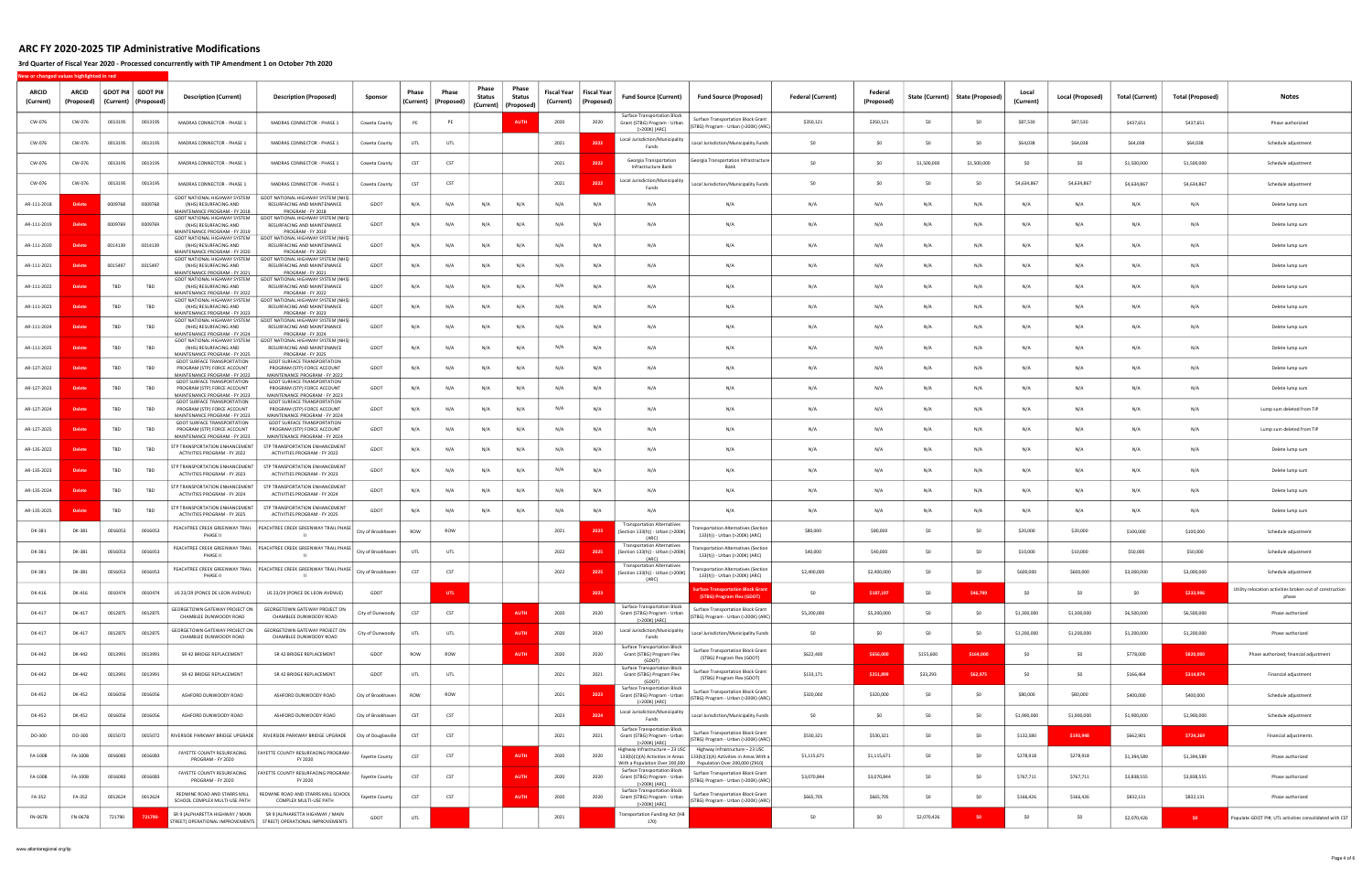### 3rd Quarter of Fiscal Year 2020 - Processed concurrently with TIP Amendment 1 on October 7th 2020

| ARCID<br>(Current) | <b>ARCID</b><br>(Proposed) | GDOT PI#   GDOT PI#<br>(Current) | (Proposed) | <b>Description (Current)</b>                                                                           | <b>Description (Proposed)</b>                                                                      | Sponsor               | Phase<br>(Current) | Phase<br>(Proposed) | Phase<br><b>Status</b> | Phase<br>Status<br>(Current)   (Proposed) | Fiscal Year<br>(Current) | Fiscal Year<br>(Proposed) | <b>Fund Source (Current)</b>                                                         | <b>Fund Source (Proposed)</b>                                                                                                                   | <b>Federal (Current)</b> | Federal<br>(Proposed) |             | State (Current)   State (Proposed) | Local<br>(Current) | Local (Proposed) | <b>Total (Current)</b> | <b>Total (Proposed)</b> | <b>Notes</b>                                                      |
|--------------------|----------------------------|----------------------------------|------------|--------------------------------------------------------------------------------------------------------|----------------------------------------------------------------------------------------------------|-----------------------|--------------------|---------------------|------------------------|-------------------------------------------|--------------------------|---------------------------|--------------------------------------------------------------------------------------|-------------------------------------------------------------------------------------------------------------------------------------------------|--------------------------|-----------------------|-------------|------------------------------------|--------------------|------------------|------------------------|-------------------------|-------------------------------------------------------------------|
| CW-076             | CW-076                     | 0013195                          | 0013195    | MADRAS CONNECTOR - PHASE 1                                                                             | MADRAS CONNECTOR - PHASE 1                                                                         | Coweta County         | PE                 | PE                  |                        | <b>AUTH</b>                               | 2020                     | 2020                      | Surface Transportation Block<br>Grant (STBG) Program - Urban<br>(>200K) (ARC)        | <b>Surface Transportation Block Grant</b><br>(STBG) Program - Urban (>200K) (ARC)                                                               | \$350,121                | \$350,121             | \$0         | \$0                                | \$87,530           | \$87,530         | \$437,651              | \$437,651               | Phase authorizied                                                 |
| CW-076             | CW-076                     | 0013195                          | 0013195    | MADRAS CONNECTOR - PHASE 1                                                                             | MADRAS CONNECTOR - PHASE 1                                                                         | Coweta County         | UTL                | UTL                 |                        |                                           | 2021                     | 202                       | Local Jurisdiction/Municipality<br>Funds                                             | Local Jurisdiction/Municipality Funds                                                                                                           | \$0                      | \$0                   | \$0         | \$0                                | \$64,038           | \$64,038         | \$64,038               | \$64,038                | Schedule adjustment                                               |
| CW-076             | CW-076                     | 0013195                          | 0013195    | MADRAS CONNECTOR - PHASE 1                                                                             | MADRAS CONNECTOR - PHASE 1                                                                         | Coweta County         | CST                | CST                 |                        |                                           | 2021                     | 202                       | Georgia Transportation<br>Infrastructure Bank                                        | Georgia Transportation Infrastructure<br>Bank                                                                                                   | SO.                      | - SO                  | \$1,500,000 | \$1,500,000                        | S <sub>0</sub>     | - SO             | \$1,500,000            | \$1,500,000             | Schedule adjustment                                               |
| CW-076             | CW-076                     | 0013195                          | 0013195    | MADRAS CONNECTOR - PHASE 1                                                                             | MADRAS CONNECTOR - PHASE 1                                                                         | Coweta County         | <b>CST</b>         | CST                 |                        |                                           | 2021                     | 202                       | Local Jurisdiction/Municipality<br>Funds                                             | Local Jurisdiction/Municipality Funds                                                                                                           | SO                       | \$0                   | SO          | \$0                                | \$4,634,867        | \$4,634,867      | \$4,634,867            | \$4,634,867             | Schedule adjustment                                               |
| AR-111-2018        |                            | 0009768                          | 0009768    | GDOT NATIONAL HIGHWAY SYSTEM<br>(NHS) RESURFACING AND<br>MAINTENANCE PROGRAM - FY 2018                 | GDOT NATIONAL HIGHWAY SYSTEM (NHS)<br>RESURFACING AND MAINTENANCE<br>PROGRAM - FY 2018             | GDOT                  | N/A                | N/A                 | N/A                    | N/A                                       | N/A                      | N/A                       | N/A                                                                                  | N/A                                                                                                                                             | N/A                      | N/A                   | N/A         | N/A                                | N/A                | N/A              | N/A                    | N/A                     | Delete lump sum                                                   |
| AR-111-2019        | <b>Delet</b>               | 0009769                          | 0009769    | GDOT NATIONAL HIGHWAY SYSTEM<br>(NHS) RESURFACING AND<br>MAINTENANCE PROGRAM - FY 2019                 | GDOT NATIONAL HIGHWAY SYSTEM (NHS)<br>RESURFACING AND MAINTENANCE<br>PROGRAM - FY 2019             | GDOT                  | N/A                | N/A                 | N/A                    | N/A                                       | N/A                      | N/A                       | N/A                                                                                  | N/A                                                                                                                                             | N/A                      | N/A                   | N/A         | N/A                                | N/A                | N/A              | N/A                    | N/A                     | Delete lump sum                                                   |
| AR-111-2020        | Dele                       | 0014139                          | 0014139    | GDOT NATIONAL HIGHWAY SYSTEM<br>(NHS) RESURFACING AND<br>MAINTENANCE PROGRAM - FY 2020                 | GDOT NATIONAL HIGHWAY SYSTEM (NHS)<br>RESURFACING AND MAINTENANCE<br>PROGRAM - FY 2020             | GDOT                  | N/A                | N/A                 | N/A                    | N/A                                       | N/A                      | N/A                       | N/A                                                                                  | N/A                                                                                                                                             | N/A                      | N/A                   | N/A         | N/A                                | N/A                | N/A              | N/A                    | N/A                     | Delete lump sum                                                   |
| AR-111-2021        |                            | 0015497                          | 0015497    | GDOT NATIONAL HIGHWAY SYSTEM<br>(NHS) RESURFACING AND<br>MAINTENANCE PROGRAM - FY 2021                 | GDOT NATIONAL HIGHWAY SYSTEM (NHS)<br>RESURFACING AND MAINTENANCE<br>PROGRAM - FY 202              | GDOT                  | N/A                | N/A                 | N/A                    | N/A                                       | N/A                      | N/A                       | N/A                                                                                  | N/A                                                                                                                                             | N/A                      | N/A                   | N/A         | N/A                                | N/A                | N/A              | N/A                    | N/A                     | Delete lump sum                                                   |
| AR-111-2022        |                            | TBD                              | TBD        | GDOT NATIONAL HIGHWAY SYSTEM<br>(NHS) RESURFACING AND<br>MAINTENANCE PROGRAM - FY 2022                 | GDOT NATIONAL HIGHWAY SYSTEM (NHS)<br>RESURFACING AND MAINTENANCE<br>PROGRAM - FY 2022             | GDOT                  | N/A                | N/A                 | N/A                    | N/A                                       | N/A                      | N/A                       | N/A                                                                                  | N/A                                                                                                                                             | N/A                      | N/A                   | N/A         | N/A                                | N/A                | N/A              | N/A                    | N/A                     | Delete lump sum                                                   |
| AR-111-2023        |                            | TBD                              | TBD        | GDOT NATIONAL HIGHWAY SYSTEM<br>(NHS) RESURFACING AND<br>MAINTENANCE PROGRAM - FY 2023                 | GDOT NATIONAL HIGHWAY SYSTEM (NHS)<br>RESURFACING AND MAINTENANCE<br>PROGRAM - FY 2023             | GDOT                  | N/A                | N/A                 | N/A                    | N/A                                       | N/A                      | N/A                       | N/A                                                                                  | N/A                                                                                                                                             | N/A                      | N/A                   | N/A         | N/A                                | N/A                | N/A              | N/A                    | N/A                     | Delete lump sum                                                   |
| AR-111-2024        |                            | TBD                              | TBD        | GDOT NATIONAL HIGHWAY SYSTEM<br>(NHS) RESURFACING AND<br>MAINTENANCE PROGRAM - FY 2024                 | GDOT NATIONAL HIGHWAY SYSTEM (NHS)<br>RESURFACING AND MAINTENANCE<br>PROGRAM - FY 2024             | GDOT                  | N/A                | N/A                 | N/A                    | N/A                                       | N/A                      | N/A                       | N/A                                                                                  | N/A                                                                                                                                             | N/A                      | N/A                   | N/A         | N/A                                | N/A                | N/A              | N/A                    | N/A                     | Delete lump sum                                                   |
| AR-111-2025        |                            | TBD                              | TBD        | GDOT NATIONAL HIGHWAY SYSTEM<br>(NHS) RESURFACING AND<br>MAINTENANCE PROGRAM - FY 2025                 | GDOT NATIONAL HIGHWAY SYSTEM (NHS)<br>RESURFACING AND MAINTENANCE<br>PROGRAM - FY 2025             | GDOT                  | N/A                | N/A                 | N/A                    | N/A                                       | N/A                      | N/A                       | N/A                                                                                  | N/A                                                                                                                                             | N/A                      | N/A                   | N/A         | N/A                                | N/A                | N/A              | N/A                    | N/A                     | Delete lump sum                                                   |
| AR-127-2022        | <b>Deleti</b>              | TBD                              | TBD        | <b>GDOT SURFACE TRANSPORTATION</b><br>PROGRAM (STP) FORCE ACCOUNT<br>MAINTENANCE PROGRAM - FY 2022     | <b>GDOT SURFACE TRANSPORTATION</b><br>PROGRAM (STP) FORCE ACCOUNT<br>MAINTENANCE PROGRAM - FY 2022 | GDOT                  | N/A                | N/A                 | N/A                    | N/A                                       | N/A                      | N/A                       | N/A                                                                                  | N/A                                                                                                                                             | N/A                      | N/A                   | N/A         | N/A                                | N/A                | N/A              | N/A                    | N/A                     | Delete lump sum                                                   |
| AR-127-2023        | Dele                       | TBD                              | TBD        | GDOT SURFACE TRANSPORTATION<br>PROGRAM (STP) FORCE ACCOUNT<br>MAINTENANCE PROGRAM - FY 2023            | <b>GDOT SURFACE TRANSPORTATION</b><br>PROGRAM (STP) FORCE ACCOUNT<br>MAINTENANCE PROGRAM - FY 2023 | GDOT                  | N/A                | N/A                 | N/A                    | N/A                                       | N/A                      | N/A                       | N/A                                                                                  | N/A                                                                                                                                             | N/A                      | N/A                   | N/A         | N/A                                | N/A                | N/A              | N/A                    | N/A                     | Delete lump sum                                                   |
| AR-127-2024        | <b>Delet</b>               | TBD                              | TBD        | <b>GDOT SURFACE TRANSPORTATION</b><br>PROGRAM (STP) FORCE ACCOUNT<br>MAINTENANCE PROGRAM - FY 2023     | <b>GDOT SURFACE TRANSPORTATION</b><br>PROGRAM (STP) FORCE ACCOUNT<br>MAINTENANCE PROGRAM - FY 2024 | GDOT                  | N/A                | N/A                 | N/A                    | N/A                                       | N/A                      | N/A                       | N/A                                                                                  | N/A                                                                                                                                             | N/A                      | N/A                   | N/A         | N/A                                | N/A                | N/A              | N/A                    | N/A                     | Lump sum deleted from TIP                                         |
| AR-127-2025        |                            | TBD                              | TBD        | <b>GDOT SURFACE TRANSPORTATION</b><br>PROGRAM (STP) FORCE ACCOUNT<br>MAINTENANCE PROGRAM - FY 2023     | <b>GDOT SURFACE TRANSPORTATION</b><br>PROGRAM (STP) FORCE ACCOUNT<br>MAINTENANCE PROGRAM - FY 2024 | GDOT                  | N/A                | N/A                 | N/A                    | N/A                                       | N/A                      | N/A                       | N/A                                                                                  | N/A                                                                                                                                             | N/A                      | N/A                   | N/A         | N/A                                | N/A                | N/A              | N/A                    | N/A                     | Lump sum deleted from TIP                                         |
| AR-135-2022        | Dele                       | TBD                              | TBD        | STP TRANSPORTATION ENHANCEMENT<br>ACTIVITIES PROGRAM - FY 2022                                         | STP TRANSPORTATION ENHANCEMENT<br>ACTIVITIES PROGRAM - FY 2022                                     | GDOT                  | N/A                | N/A                 | N/A                    | N/A                                       | N/A                      | N/A                       | N/A                                                                                  | N/A                                                                                                                                             | N/A                      | N/A                   | N/A         | N/A                                | N/A                | N/A              | N/A                    | N/A                     | Delete lump sum                                                   |
| AR-135-2023        |                            | TBD                              | TBD        | STP TRANSPORTATION ENHANCEMENT<br>ACTIVITIES PROGRAM - FY 2023                                         | STP TRANSPORTATION ENHANCEMENT<br>ACTIVITIES PROGRAM - FY 2023                                     | GDOT                  | N/A                | N/A                 | N/A                    | N/A                                       | N/A                      | N/A                       | N/A                                                                                  | N/A                                                                                                                                             | N/A                      | N/A                   | N/A         | N/A                                | N/A                | N/A              | N/A                    | N/A                     | Delete lump sum                                                   |
| AR-135-2024        | <b>Delet</b>               | TBD                              | TBD        | STP TRANSPORTATION ENHANCEMENT<br>ACTIVITIES PROGRAM - FY 2024                                         | STP TRANSPORTATION ENHANCEMENT<br>ACTIVITIES PROGRAM - FY 2024                                     | GDOT                  | N/A                | N/A                 | N/A                    | N/A                                       | N/A                      | N/A                       | N/A                                                                                  | N/A                                                                                                                                             | N/A                      | N/A                   | N/A         | N/A                                | N/A                | N/A              | N/A                    | N/A                     | Delete lump sum                                                   |
| AR-135-2025        |                            | TBD                              | TBD        | STP TRANSPORTATION ENHANCEMENT<br>ACTIVITIES PROGRAM - FY 2025                                         | STP TRANSPORTATION ENHANCEMENT<br>ACTIVITIES PROGRAM - FY 2025                                     | GDOT                  | N/A                | N/A                 | N/A                    | N/A                                       | N/A                      | N/A                       | N/A                                                                                  | N/A                                                                                                                                             | N/A                      | N/A                   | N/A         | N/A                                | N/A                | N/A              | N/A                    | N/A                     | Delete lump sum                                                   |
| DK-381             | DK-381                     | 0016053                          | 0016053    | PEACHTREE CREEK GREENWAY TRAIL<br>PHASE II                                                             | PEACHTREE CREEK GREENWAY TRAIL PHASE                                                               | City of Brookhaven    | ROW                | <b>ROW</b>          |                        |                                           | 2021                     | 2023                      | <b>Transportation Alternatives</b><br>(Section 133(h)) - Urban (>200K)<br>(ARC)      | nsportation Alternatives (Section<br>133(h)) - Urban (>200K) (ARC)                                                                              | \$80,000                 | \$80,000              | \$0         | SO.                                | \$20,000           | \$20,000         | \$100,000              | \$100,000               | Schedule adjustment                                               |
| DK-381             | DK-381                     | 0016053                          | 0016053    | PEACHTREE CREEK GREENWAY TRAIL<br>PHASE II                                                             | PEACHTREE CREEK GREENWAY TRAIL PHASE                                                               | City of Brookhaven    | UTL                | UTL                 |                        |                                           | 2022                     | 2025                      | <b>Transportation Alternatives</b><br>(Section 133(h)) - Urban (>200K)<br>(ARC)      | <b>Insportation Alternatives (Section</b><br>133(h)) - Urban (>200K) (ARC)                                                                      | \$40,000                 | \$40,000              | SO.         | \$0                                | \$10,000           | \$10,000         | \$50,000               | \$50,000                | Schedule adjustment                                               |
| DK-381             | DK-381                     | 0016053                          | 0016053    | PEACHTREE CREEK GREENWAY TRAIL   PEACHTREE CREEK GREENWAY TRAIL PHASE<br>PHASE II                      | - 11 -                                                                                             | City of Brookhaven    | CST                | CST                 |                        |                                           | 2022                     | 202                       | <b>Transportation Alternatives</b><br>(Section 133(h)) - Urban (>200K)<br>(ARC)      | <b>Insportation Alternatives (Section</b><br>133(h)) - Urban (>200K) (ARC)                                                                      | \$2,400,000              | \$2,400,000           | SO.         | \$0                                | \$600,000          | \$600,000        | \$3,000,000            | \$3,000,000             | Schedule adjustment                                               |
| DK-416             | DK-416                     | 0010474                          | 0010474    | US 23/29 (PONCE DE LEON AVENUE)                                                                        | US 23/29 (PONCE DE LEON AVENUE)                                                                    | GDOT                  |                    | UTL.                |                        |                                           |                          | 2023                      |                                                                                      | rface Transportation Block Grant<br>(STBG) Program Flex (GDOT)                                                                                  | \$0                      | \$187,197             | \$0         | \$46,799                           | \$0                | SO               | \$0                    | \$233,996               | Utility relocation activities broken out of construction<br>phase |
| DK-417             | DK-417                     | 0012875                          | 0012875    | GEORGETOWN GATEWAY PROJECT ON<br>CHAMBLEE DUNWOODY ROAD                                                | GEORGETOWN GATEWAY PROJECT ON<br>CHAMBLEE DUNWOODY ROAD                                            | City of Dunwoody      | <b>CST</b>         | CST                 |                        | <b>AUTH</b>                               | 2020                     | 2020                      | Surface Transportation Block<br>Grant (STBG) Program - Urban<br>(>200K) (ARC)        | <b>Surface Transportation Block Grant</b><br>(STBG) Program - Urban (>200K) (ARC)                                                               | \$5,200,000              | \$5,200,000           | \$0         | \$0                                | \$1,300,000        | \$1,300,000      | \$6,500,000            | \$6,500,000             | Phase authorized                                                  |
| DK-417             | DK-417                     | 0012875                          | 0012875    | GEORGETOWN GATEWAY PROJECT ON<br>CHAMBLEE DUNWOODY ROAD                                                | GEORGETOWN GATEWAY PROJECT ON<br>CHAMBLEE DUNWOODY ROAD                                            | City of Dunwoody      | UTL                | UTL.                |                        | <b>AUTH</b>                               | 2020                     | 2020                      | Local Jurisdiction/Municipality<br>Funds                                             | Local Jurisdiction/Municipality Funds                                                                                                           | \$0                      | \$0                   | \$0         | \$0                                | \$1,200,000        | \$1,200,000      | \$1,200,000            | \$1,200,000             | Phase authorized                                                  |
| DK-442             | DK-442                     | 0013991                          | 0013991    | SR 42 BRIDGE REPLACEMENT                                                                               | SR 42 BRIDGE REPLACEMENT                                                                           | GDOT                  | ROW                | ROW                 |                        | <b>AUTH</b>                               | 2020                     | 2020                      | <b>Surface Transportation Block</b><br>Grant (STBG) Program Flex<br>(GDOT)           | <b>Surface Transportation Block Grant</b><br>(STBG) Program Flex (GDOT)                                                                         | \$622,400                | \$656,000             | \$155,600   | \$164,000                          | \$0                | SO.              | \$778,000              | \$820,000               | Phase authorized; financial adjustment                            |
| DK-442             | DK-442                     | 0013991                          | 0013991    | SR 42 BRIDGE REPLACEMENT                                                                               | SR 42 BRIDGE REPLACEMENT                                                                           | GDOT                  | UTL                | UTL.                |                        |                                           | 2021                     | 2021                      | Surface Transportation Block<br>Grant (STBG) Program Flex<br>(GDOT)                  | <b>Surface Transportation Block Grant</b><br>(STBG) Program Flex (GDOT)                                                                         | \$133,171                | \$251,899             | \$33,293    | \$62,975                           | \$0                | \$0              | \$166,464              | \$314,874               | Financial adjustment                                              |
| DK-452             | DK-452                     | 0016056                          | 0016056    | ASHFORD DUNWOODY ROAD                                                                                  | ASHFORD DUNWOODY ROAD                                                                              | City of Brookhaven    | ROW                | ROW                 |                        |                                           | 2021                     | 202                       | <b>Surface Transportation Block</b><br>Grant (STBG) Program - Urban<br>(>200K) (ARC) | <b>Surface Transportation Block Grant</b><br>(STBG) Program - Urban (>200K) (ARC)                                                               | \$320,000                | \$320,000             | \$0         | \$0                                | \$80,000           | \$80,000         | \$400,000              | \$400,000               | Schedule adjustment                                               |
| DK-452             | DK-452                     | 0016056                          | 0016056    | ASHFORD DUNWOODY ROAD                                                                                  | ASHFORD DUNWOODY ROAD                                                                              | City of Brookhaven    | <b>CST</b>         | CST                 |                        |                                           | 2023                     | 202                       | Local Jurisdiction/Municipality<br>Funds                                             | Local Jurisdiction/Municipality Funds                                                                                                           | \$0                      | SO                    | \$0         | \$0                                | \$1,900,000        | \$1,900,000      | \$1,900,000            | \$1,900,000             | Schedule adjustment                                               |
| DO-300             | DO-300                     | 0015072                          | 0015072    | RIVERSIDE PARKWAY BRIDGE UPGRADE                                                                       | RIVERSIDE PARKWAY BRIDGE UPGRADE                                                                   | City of Douglasville  | <b>CST</b>         | CST                 |                        |                                           | 2021                     | 2021                      | <b>Surface Transportation Block</b><br>Grant (STBG) Program - Urban<br>(>200K) (ARC) | Surface Transportation Block Grant<br>(STBG) Program - Urban (>200K) (ARC)                                                                      | \$530,321                | \$530,321             | \$0         | \$0                                | \$132,580          | \$193,948        | \$662,901              | \$724,269               | Financial adjustments                                             |
| FA-100B            | FA-100B                    | 0016083                          | 0016083    | FAYETTE COUNTY RESURFACING<br>PROGRAM - FY 2020                                                        | FAYETTE COUNTY RESURFACING PROGRAM -<br>FY 2020                                                    | <b>Fayette County</b> | <b>CST</b>         | CST                 |                        | <b>AUTH</b>                               | 2020                     | 2020                      | Highway Infrastructure - 23 USC<br>With a Population Over 200,000                    | Highway Infrastructure - 23 USC<br>133(b)(1)(A) Activities in Areas   133(b)(1)(A) Activities in Areas With a<br>Population Over 200,000 (Z910) | \$1,115,671              | \$1,115,671           | \$0         | \$0                                | \$278,918          | \$278,918        | \$1,394,589            | \$1,394,589             | Phase authorized                                                  |
| FA-100B            | FA-100B                    | 0016083                          | 0016083    | FAYETTE COUNTY RESURFACING<br>PROGRAM - FY 2020                                                        | FAYETTE COUNTY RESURFACING PROGRAM -<br>FY 2020                                                    | Fayette County        | <b>CST</b>         | CST                 |                        | <b>AUTH</b>                               | 2020                     | 2020                      | Surface Transportation Block<br>Grant (STBG) Program - Urban<br>(>200K) (ARC)        | Surface Transportation Block Grant<br>(STBG) Program - Urban (>200K) (ARC)                                                                      | \$3,070,844              | \$3,070,844           | \$0         | SO.                                | \$767,711          | \$767,711        | \$3,838,555            | \$3,838,555             | Phase authorized                                                  |
| FA-352             | FA-352                     | 0012624                          | 0012624    | REDWINE ROAD AND STARRS MILL<br>SCHOOL COMPLEX MULTI-USE PATH                                          | REDWINE ROAD AND STARRS MILL SCHOOL<br>COMPLEX MULTI-USE PATH                                      | Fayette County        | <b>CST</b>         | CST                 |                        | <b>AUTH</b>                               | 2020                     | 2020                      | <b>Surface Transportation Block</b><br>Grant (STBG) Program - Urban<br>(>200K) (ARC) | Surface Transportation Block Grant<br>(STBG) Program - Urban (>200K) (ARC)                                                                      | \$665,705                | \$665,705             | \$0         | \$0                                | \$166,426          | \$166,426        | \$832,131              | \$832,131               | Phase authorized                                                  |
| FN-067B            | FN-067B                    | 721790                           | 721790-    | SR 9 (ALPHARETTA HIGHWAY / MAIN<br>STREET) OPERATIONAL IMPROVEMENTS   STREET) OPERATIONAL IMPROVEMENTS | SR 9 (ALPHARETTA HIGHWAY / MAIN                                                                    | GDOT                  | UTL                |                     |                        |                                           | 2021                     |                           | ransportation Funding Act (HB<br>170)                                                |                                                                                                                                                 | \$0                      | \$0                   | \$2,070,426 | \$0                                | \$0                | \$0              | \$2,070,426            | \$0                     | Populate GDOT PI#; UTL activities consolidated with CST           |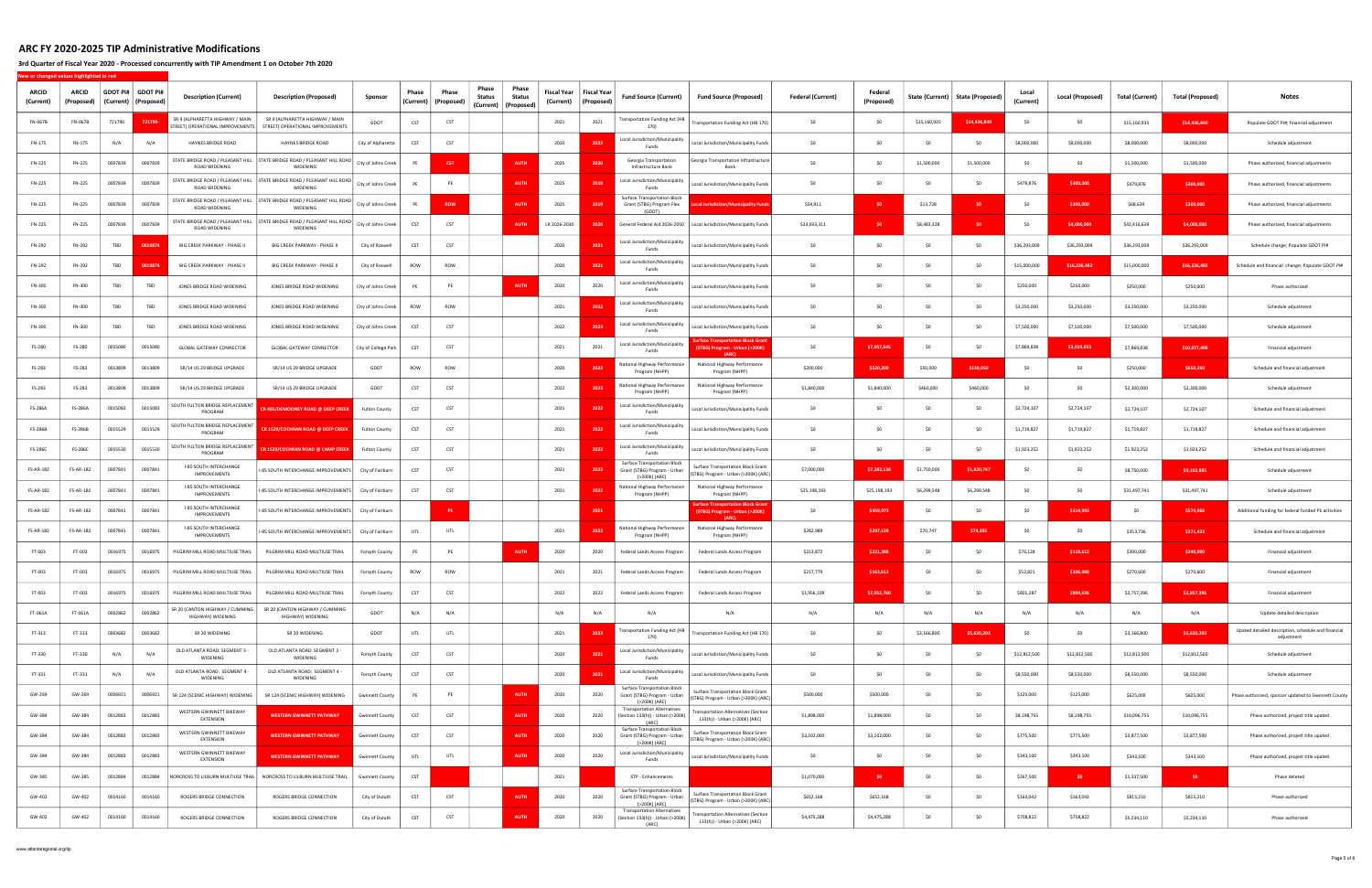### 3rd Quarter of Fiscal Year 2020 - Processed concurrently with TIP Amendment 1 on October 7th 2020

| <b>ARCID</b><br>(Current) | <b>ARCID</b><br>(Proposed) |         | GDOT PI#   GDOT PI#<br>(Current)   (Proposed | <b>Description (Current)</b>                                       | <b>Description (Proposed)</b>                                                          | Sponsor                | Phase<br>(Current) | Phase<br>(Proposed) | Phase<br><b>Status</b><br>(Current) | Phase<br><b>Status</b><br>(Proposed) | Fiscal Year<br>(Current) | <b>Fiscal Year</b><br>(Proposed) | <b>Fund Source (Current)</b>                                                         | <b>Fund Source (Proposed)</b>                                                      | <b>Federal (Current)</b> | Federal<br>(Proposed) | State (Current) | <b>State (Proposed)</b> | Local<br>(Current) | Local (Proposed) | <b>Total (Current)</b> | <b>Total (Proposed)</b> | <b>Notes</b>                                                      |
|---------------------------|----------------------------|---------|----------------------------------------------|--------------------------------------------------------------------|----------------------------------------------------------------------------------------|------------------------|--------------------|---------------------|-------------------------------------|--------------------------------------|--------------------------|----------------------------------|--------------------------------------------------------------------------------------|------------------------------------------------------------------------------------|--------------------------|-----------------------|-----------------|-------------------------|--------------------|------------------|------------------------|-------------------------|-------------------------------------------------------------------|
| FN-067B                   | FN-067B                    | 721790  | 72179                                        | SR 9 (ALPHARETTA HIGHWAY / MAIN<br>TREET) OPERATIONAL IMPROVEMENTS | SR 9 (ALPHARETTA HIGHWAY / MAIN<br>STREET) OPERATIONAL IMPROVEMENTS                    | GDOT                   | CST                | CST                 |                                     |                                      | 2021                     | 2021                             | <b>Transportation Funding Act (HB</b><br>170)                                        | Transportation Funding Act (HB 170)                                                | \$0                      | \$0                   | \$15,160,935    | \$14,436,840            | SO.                | SO.              | \$15,160,935           | \$14,436,840            | Populate GDOT PI#; financial adjustment                           |
| FN-175                    | FN-175                     | N/A     | N/A                                          | HAYNES BRIDGE ROAD                                                 | HAYNES BRIDGE ROAD                                                                     | City of Alpharetta     | CST                | <b>CST</b>          |                                     |                                      | 2020                     | 202                              | Local Jurisdiction/Municipality<br>Funds                                             | Local Jurisdiction/Municipality Funds                                              | \$0                      | \$0                   | SO              | SO                      | \$8,000,000        | \$8,000,000      | \$8,000,000            | \$8,000,000             | Schedule adjustment                                               |
| FN-225                    | FN-225                     | 0007839 | 0007839                                      | STATE BRIDGE ROAD / PLEASANT HILL<br>ROAD WIDENING                 | STATE BRIDGE ROAD / PLEASANT HILL ROAD<br>WIDENING                                     | City of Johns Creek    | PE                 | <b>CST</b>          |                                     | AUTH                                 | 2025                     | 2020                             | Georgia Transportation<br>Infrastructure Bank                                        | Georgia Transportation Infrastructure                                              | \$0                      | - SO                  | \$1,500,000     | \$1,500,000             | - SO               | -SO              | \$1,500,000            | \$1,500,000             | Phase authorized, financial adjustments                           |
| FN-225                    | FN-225                     | 0007839 | 0007839                                      | STATE BRIDGE ROAD / PLEASANT HILL<br>ROAD WIDENING                 | STATE BRIDGE ROAD / PLEASANT HILL ROAD<br>WIDENING                                     | City of Johns Creek    | PE                 | PE                  |                                     | <b>AUTH</b>                          | 2025                     | 201                              | Local Jurisdiction/Municipality<br>Funds                                             | Local Jurisdiction/Municipality Funds                                              | \$0                      | SO.                   | \$0             | SO                      | \$479,876          | \$300,000        | \$479,876              | \$300,000               | Phase authorized, financial adjustments                           |
| FN-225                    | FN-225                     | 0007839 | 0007839                                      | ROAD WIDENING                                                      | STATE BRIDGE ROAD / PLEASANT HILL   STATE BRIDGE ROAD / PLEASANT HILL ROAD<br>WIDENING | City of Johns Creek    | PE                 | <b>ROW</b>          |                                     | <b>AUTH</b>                          | 2025                     | 201                              | <b>Surface Transportation Block</b><br>Grant (STBG) Program Flex<br>(GDO)            | cal Jurisdiction/Municipality Fun                                                  | \$54,911                 | SO.                   | \$13,728        | \$0                     | -SO                | \$300,000        | \$68,639               | \$300,000               | Phase authorized, financial adjustments                           |
| FN-225                    | FN-225                     | 0007839 | 0007839                                      | ROAD WIDENING                                                      | STATE BRIDGE ROAD / PLEASANT HILL   STATE BRIDGE ROAD / PLEASANT HILL ROAD<br>WIDENING | City of Johns Creek    | CST                | CST                 |                                     | AUTI                                 | LR 2026-2030             | 2020                             | General Federal Aid 2026-2050                                                        | Local Jurisdiction/Municipality Funds                                              | \$33,933,311             | \$0                   | \$8,483,328     | \$0\$                   | SO.                | \$4,000,000      | \$42,416,639           | \$4,000,000             | Phase authorized, financial adjustments                           |
| FN-292                    | FN-292                     | TBD     |                                              | BIG CREEK PARKWAY - PHASE II                                       | BIG CREEK PARKWAY - PHASE II                                                           | City of Roswell        | <b>CST</b>         | CST                 |                                     |                                      | 2020                     | 202                              | Local Jurisdiction/Municipality<br>Funds                                             | Local Jurisdiction/Municipality Funds                                              | \$0                      | SO                    | \$0             | \$0                     | \$36,293,009       | \$36,293,009     | \$36,293,009           | \$36,293,009            | Schedule change; Populate GDOT PI#                                |
| FN-292                    | FN-292                     | TBD     |                                              | BIG CREEK PARKWAY - PHASE II                                       | BIG CREEK PARKWAY - PHASE II                                                           | City of Roswell        | ROW                | ROW                 |                                     |                                      | 2020                     | 202                              | Local Jurisdiction/Municipality<br>Funds                                             | Local Jurisdiction/Municipality Funds                                              | \$0                      | SO.                   | \$0             | SO                      | \$15,000,000       | \$16,236,482     | \$15,000,000           | \$16,236,482            | Schedule and financial change; Populate GDOT PI#                  |
| FN-300                    | FN-300                     | TBD     | TBD                                          | JONES BRIDGE ROAD WIDENING                                         | JONES BRIDGE ROAD WIDENING                                                             | City of Johns Creek    | PE                 | PE                  |                                     | <b>AUTI</b>                          | 2020                     | 2020                             | Local Jurisdiction/Municipality<br>Funds                                             | Local Jurisdiction/Municipality Funds                                              | \$0                      | \$0                   | \$0             | SO                      | \$250,000          | \$250,000        | \$250,000              | \$250,000               | Phase authorized                                                  |
| FN-300                    | FN-300                     | TBD     | TBD                                          | JONES BRIDGE ROAD WIDENING                                         | JONES BRIDGE ROAD WIDENING                                                             | City of Johns Creek    | ROW                | ROW                 |                                     |                                      | 2021                     | 202                              | Local Jurisdiction/Municipality<br>Funds                                             | Local Jurisdiction/Municipality Funds                                              | \$0                      | \$0                   | \$0             | SO                      | \$3,250,000        | \$3,250,000      | \$3,250,000            | \$3,250,000             | Schedule adjustment                                               |
| FN-300                    | FN-300                     | TBD     | TBD                                          | JONES BRIDGE ROAD WIDENING                                         | JONES BRIDGE ROAD WIDENING                                                             | City of Johns Creek    | CST                | CST                 |                                     |                                      | 2022                     | 202                              | Local Jurisdiction/Municipality<br>Funds                                             | Local Jurisdiction/Municipality Funds                                              | SO.                      | SO.                   | SO.             | SO                      | \$7,500,000        | \$7,500,000      | \$7,500,000            | \$7,500,000             | Schedule adjustment                                               |
| FS-280                    | FS-280                     | 0015080 | 0015080                                      | <b>GLOBAL GATEWAY CONNECTOR</b>                                    | <b>GLOBAL GATEWAY CONNECTOR</b>                                                        | City of College Park   | <b>CST</b>         | CST                 |                                     |                                      | 2021                     | 2021                             | Local Jurisdiction/Municipality<br>Funds                                             | <b>urface Transportation Block Gran</b><br>(STBG) Program - Urban (>200K)<br>(ARC) | \$0                      | \$7,057,645           | \$0             | \$O                     | \$7,869,838        | \$3,019,853      | \$7,869,838            | \$10.077.498            | Financial adjustment                                              |
| FS-283                    | FS-283                     | 0013809 | 0013809                                      | SR/14 US 29 BRIDGE UPGRADE                                         | SR/14 US 29 BRIDGE UPGRADE                                                             | GDOT                   | ROW                | ROW                 |                                     |                                      | 2020                     | 202                              | National Highway Performance<br>Program (NHPP)                                       | National Highway Performance<br>Program (NHPP)                                     | \$200,000                | \$520,200             | \$50,000        | \$130,050               | SO.                | S <sub>0</sub>   | \$250,000              | \$650,250               | Schedule and financial adjustment                                 |
| FS-283                    | FS-283                     | 0013809 | 0013809                                      | SR/14 US 29 BRIDGE UPGRADE                                         | SR/14 US 29 BRIDGE UPGRADE                                                             | GDOT                   | CST                | CST                 |                                     |                                      | 2022                     | 202                              | National Highway Performance<br>Program (NHPP)                                       | National Highway Performance<br>Program (NHPP)                                     | \$1,840,000              | \$1,840,000           | \$460,000       | \$460,000               | SO.                | - SO             | \$2,300,000            | \$2,300,000             | Schedule adjustment                                               |
| FS-286A                   | FS-286A                    | 0015083 | 0015083                                      | SOUTH FULTON BRIDGE REPLACEMENT<br>PROGRAM                         | CR 485/DEMOONEY ROAD @ DEEP CREEK                                                      | <b>Fulton County</b>   | CST                | CST                 |                                     |                                      | 2021                     | 202                              | Local Jurisdiction/Municipality<br>Funds                                             | Local Jurisdiction/Municipality Funds                                              | \$0                      | SO.                   |                 |                         | \$2,724,107        | \$2,724,107      | \$2,724,107            | \$2,724,107             | Schedule and financial adjustment                                 |
| FS-286B                   | FS-286B                    | 0015529 | 0015529                                      | SOUTH FULTON BRIDGE REPLACEMENT<br>PROGRAM                         | R 1529/COCHRAN ROAD @ DEEP CREEH                                                       | <b>Fulton County</b>   | CST                | CST                 |                                     |                                      | 2021                     | 202                              | Local Jurisdiction/Municipality<br>Funds                                             | Local Jurisdiction/Municipality Funds                                              | \$0                      | SO.                   | \$0             | \$0                     | \$1,719,827        | \$1,719,827      | \$1,719,827            | \$1,719,827             | Schedule and financial adjustment                                 |
| <b>FS-286C</b>            | FS-286C                    | 0015530 | 0015530                                      | SOUTH FULTON BRIDGE REPLACEMENT<br>PROGRAM                         | 1529/COCHRAN ROAD @ CAMP CREEK                                                         | <b>Fulton County</b>   | CST                | CST                 |                                     |                                      | 2021                     | 202                              | Local Jurisdiction/Municipality<br>Funds                                             | Local Jurisdiction/Municipality Funds                                              | \$0                      | SO.                   | - SO            | Ś٥                      | \$1,923,252        | \$1,923,252      | \$1,923,252            | \$1,923,252             | Schedule and financial adjustment                                 |
| FS-AR-182                 | FS-AR-182                  | 0007841 | 0007841                                      | <b>I-85 SOUTH INTERCHANGE</b><br><b>IMPROVEMENTS</b>               | -85 SOUTH INTERCHANGE IMPROVEMENTS                                                     | City of Fairburn       | CST                | CST                 |                                     |                                      | 2021                     | 202                              | <b>Surface Transportation Block</b><br>Grant (STBG) Program - Urban<br>(>200K) (ARC  | <b>Surface Transportation Block Grant</b><br>(STBG) Program - Urban (>200K) (ARC)  | \$7,000,000              | \$7.282.13            | \$1,750,000     | \$1.820.74              | SO.                |                  | \$8,750,000            | \$9,102,885             | Schedule adjustment                                               |
| FS-AR-182                 | FS-AR-182                  | 0007841 | 0007841                                      | I-85 SOUTH INTERCHANGE<br><b>IMPROVEMENTS</b>                      | I-85 SOUTH INTERCHANGE IMPROVEMENTS                                                    | City of Fairburn       | CST                | CST                 |                                     |                                      | 2021                     | 202                              | National Highway Performance<br>Program (NHPP)                                       | National Highway Performance<br>Program (NHPP)                                     | \$25,198,193             | \$25,198,193          | \$6,299,548     | \$6,299,548             |                    |                  | \$31,497,741           | \$31,497,741            | Schedule adjustment                                               |
| <b>FS-AR-182</b>          | <b>FS-AR-182</b>           | 0007841 | 0007841                                      | I-85 SOUTH INTERCHANGE<br><b>IMPROVEMENTS</b>                      | -85 SOUTH INTERCHANGE IMPROVEMENTS                                                     | City of Fairburn       |                    |                     |                                     |                                      |                          | 202                              |                                                                                      | urface Transportation Block Gra<br>(STBG) Program - Urban (>200K)<br>[APC]         | \$0                      | \$459,973             | \$0             | \$O                     |                    | \$114,993        | \$0                    | \$574,966               | Additional funding for federal funded PE activities               |
| <b>FS-AR-182</b>          | <b>FS-AR-182</b>           | 0007841 | 0007841                                      | <b>I-85 SOUTH INTERCHANGE</b><br>IMPROVEMENTS                      | I-85 SOUTH INTERCHANGE IMPROVEMENTS                                                    | City of Fairburn       | UTL                | UTL                 |                                     |                                      | 2021                     | -202                             | National Highway Performance<br>Program (NHPP)                                       | National Highway Performance<br>Program (NHPP)                                     | \$282,989                | \$297.138             | \$70,747        | \$74,285                | SO.                | - SO             | \$353,736              | \$371,423               | Schedule and financial adjustment                                 |
| FT-003                    | FT-003                     | 0016975 | 0016975                                      | PILGRIM MILL ROAD MULTIUSE TRAI                                    | PILGRIM MILL ROAD MULTIUSE TRAIL                                                       | Forsyth County         | PE                 | <b>PE</b>           |                                     | <b>AUT</b>                           | 2020                     | 2020                             | Federal Lands Access Program                                                         | Federal Lands Access Program                                                       | \$313,872                | \$221.388             | SO.             | SO                      | \$76,128           | \$118,612        | \$390,000              | \$340,000               | Financial adjustment                                              |
| FT-003                    | FT-003                     | 0016975 | 0016975                                      | PILGRIM MILL ROAD MULTIUSE TRAIL                                   | PILGRIM MILL ROAD MULTIUSE TRAIL                                                       | Forsyth County         | ROW                | ROW                 |                                     |                                      | 2021                     | 2021                             | Federal Lands Access Program                                                         | Federal Lands Access Program                                                       | \$217,779                | \$163,612             | \$0             | \$O                     | \$52,821           | \$106,988        | \$270,600              | \$270,600               | Financial adjustment                                              |
| FT-003                    | FT-003                     | 0016975 | 0016975                                      | PILGRIM MILL ROAD MULTIUSE TRAIL                                   | PILGRIM MILL ROAD MULTIUSE TRAIL                                                       | Forsyth County         | <b>CST</b>         | CST                 |                                     |                                      | 2022                     | 2022                             | Federal Lands Access Program                                                         | Federal Lands Access Program                                                       | \$1,956,109              | \$2,052,760           | \$0             | \$0                     | \$801,287          | \$804,636        | \$2,757,396            | \$2,857,396             | Financial adjustment                                              |
| FT-061A                   | FT-061A                    | 0002862 | 0002862                                      | SR 20 (CANTON HIGHWAY / CUMMING<br>HIGHWAY) WIDENING               | SR 20 (CANTON HIGHWAY / CUMMING<br>HIGHWAY) WIDENING                                   | GDOT                   | N/A                | N/A                 |                                     |                                      | N/A                      | N/A                              | N/A                                                                                  | N/A                                                                                | N/A                      | N/A                   | N/A             | N/A                     | N/A                | N/A              | N/A                    | N/A                     | Update detailed description                                       |
| FT-313                    | FT-313                     | 0003682 | 0003682                                      | SR 20 WIDENING                                                     | SR 20 WIDENING                                                                         | GDOT                   | UTL                | UTL                 |                                     |                                      | 2021                     | 2023                             | <b>Transportation Funding Act (HB</b><br>170)                                        | Transportation Funding Act (HB 170)                                                | \$0                      | \$0                   | \$3,166,800     | \$5,620,293             | \$0                | SO.              | \$3,166,800            | \$5,620,293             | Upated detailed description, schedule and financial<br>adjustment |
| FT-330                    | FT-330                     | N/A     | N/A                                          | OLD ATLANTA ROAD: SEGMENT 3 -<br>WIDENING                          | OLD ATLANTA ROAD: SEGMENT 3 -<br>WIDENING                                              | Forsyth County         | CST                | CST                 |                                     |                                      | 2020                     | 202                              | Local Jurisdiction/Municipality<br>Funds                                             | Local Jurisdiction/Municipality Funds                                              | \$0                      | \$0                   | \$0             | SO                      | \$12,812,500       | \$12,812,500     | \$12,812,500           | \$12,812,500            | Schedule adjustment                                               |
| FT-331                    | FT-331                     | N/A     | N/A                                          | OLD ATLANTA ROAD: SEGMENT 4<br>WIDENING                            | OLD ATLANTA ROAD: SEGMENT 4 -<br>WIDENING                                              | Forsyth County         | <b>CST</b>         | CST                 |                                     |                                      | 2020                     | 2021                             | Local Jurisdiction/Municipality<br>Funds                                             | Local Jurisdiction/Municipality Funds                                              | \$0                      | \$0                   | \$0             | \$0                     | \$8,550,000        | \$8,550,000      | \$8,550,000            | \$8,550,000             | Schedule adjustment                                               |
| GW-269                    | GW-269                     | 0006921 | 0006921                                      | SR 124 (SCENIC HIGHWAY) WIDENING                                   | SR 124 (SCENIC HIGHWAY) WIDENING                                                       | <b>Gwinnett County</b> | PE                 | PE                  |                                     | <b>AUTH</b>                          | 2020                     | 2020                             | <b>Surface Transportation Block</b><br>Grant (STBG) Program - Urban<br>(>200K) (ARC) | <b>Surface Transportation Block Grant</b><br>(STBG) Program - Urban (>200K) (ARC)  | \$500,000                | \$500,000             | SO.             | \$0                     | \$125,000          | \$125,000        | \$625,000              | \$625,000               | Phase authorized, sponsor updated to Gwinnett County              |
| GW-384                    | GW-384                     | 0012883 | 0012883                                      | WESTERN GWINNETT BIKEWAY<br>EXTENSION                              | <b>WESTERN GWINNETT PATHWAY</b>                                                        | <b>Gwinnett County</b> | <b>CST</b>         | CST                 |                                     | <b>AUTH</b>                          | 2020                     | 2020                             | <b>Transportation Alternatives</b><br>(Section 133(h)) - Urban (>200K)  <br>(ARC)    | ansportation Alternatives (Section<br>133(h)) - Urban (>200K) (ARC)                | \$1,898,000              | \$1,898,000           | \$0             | \$0                     | \$8,198,755        | \$8,198,755      | \$10,096,755           | \$10,096,755            | Phase authorized, project title upated                            |
| GW-384                    | GW-384                     | 0012883 | 0012883                                      | WESTERN GWINNETT BIKEWAY<br><b>EXTENSION</b>                       | <b>WESTERN GWINNETT PATHWAY</b>                                                        | <b>Gwinnett County</b> | CST                | CST                 |                                     | <b>AUTH</b>                          | 2020                     | 2020                             | <b>Surface Transportation Block</b><br>Grant (STBG) Program - Urban<br>(>200K) (ARC) | Surface Transportation Block Grant<br>(STBG) Program - Urban (>200K) (ARC)         | \$3,102,000              | \$3,102,000           | \$0             | \$0                     | \$775,500          | \$775,500        | \$3,877,500            | \$3,877,500             | Phase authorized, project title upated                            |
| GW-384                    | GW-384                     | 0012883 | 0012883                                      | WESTERN GWINNETT BIKEWAY<br>EXTENSION                              | <b>WESTERN GWINNETT PATHWAY</b>                                                        | <b>Gwinnett County</b> | UTL                | UTL                 |                                     | <b>AUTH</b>                          | 2020                     | 2020                             | Local Jurisdiction/Municipality<br>Funds                                             | Local Jurisdiction/Municipality Funds                                              | \$0                      | \$0                   | \$0             | \$0                     | \$343,100          | \$343,100        | \$343,100              | \$343,100               | Phase authorized, project title upated                            |
| GW-385                    | GW-385                     | 0012884 | 0012884                                      | NORCROSS TO LILBURN MULTIUSE TRAIL                                 | NORCROSS TO LILBURN MULTIUSE TRAIL                                                     | <b>Gwinnett County</b> | CST                |                     |                                     |                                      | 2021                     |                                  | STP - Enhancements                                                                   |                                                                                    | \$1,070,000              | SO                    | \$0             | \$0                     | \$267,500          | SO <sub>2</sub>  | \$1,337,500            | \$0                     | Phase deleted                                                     |
| GW-402                    | GW-402                     | 0014160 | 0014160                                      | ROGERS BRIDGE CONNECTION                                           | ROGERS BRIDGE CONNECTION                                                               | City of Duluth         | <b>CST</b>         | CST                 |                                     | <b>AUTH</b>                          | 2020                     | 2020                             | <b>Surface Transportation Block</b><br>Grant (STBG) Program - Urban<br>(>200K) (ARC) | Surface Transportation Block Grant<br>(STBG) Program - Urban (>200K) (ARC)         | \$652,168                | \$652,168             | \$0             | \$0                     | \$163,042          | \$163,042        | \$815,210              | \$815,210               | Phase authorized                                                  |
| GW-402                    | GW-402                     | 0014160 | 0014160                                      | ROGERS BRIDGE CONNECTION                                           | ROGERS BRIDGE CONNECTION                                                               | City of Duluth         | <b>CST</b>         | <b>CST</b>          |                                     | <b>AUTH</b>                          | 2020                     | 2020                             | <b>Transportation Alternatives</b><br>(Section 133(h)) - Urban (>200K)<br>(ARC)      | ansportation Alternatives (Section<br>133(h)) - Urban (>200K) (ARC)                | \$4,475,288              | \$4,475,288           | \$0             | \$0                     | \$758,822          | \$758,822        | \$5,234,110            | \$5,234,110             | Phase authorized                                                  |